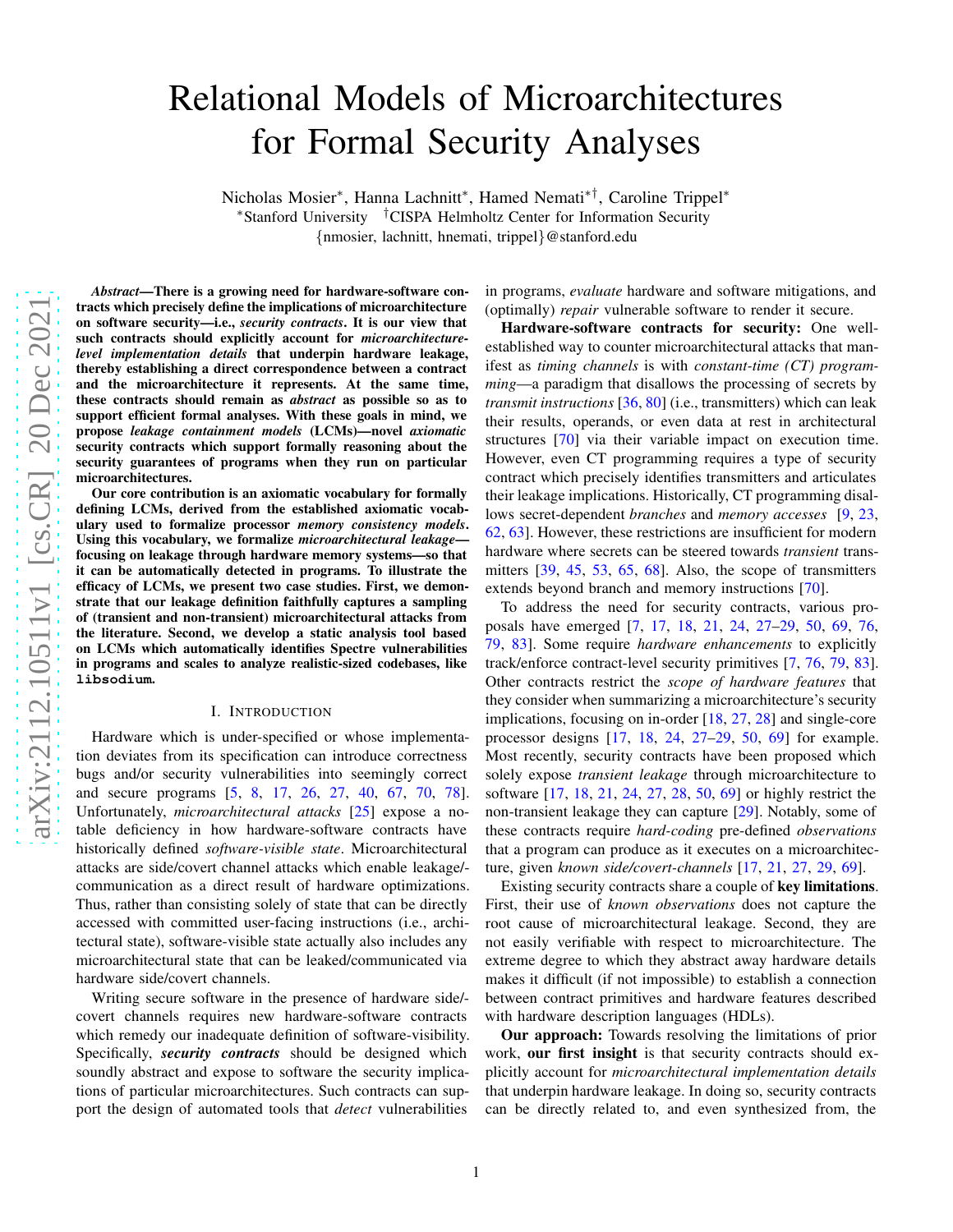# Relational Models of Microarchitectures for Formal Security Analyses Nicholas Mosier\*, Hanna Lachnitt\*, Hamed Nemati\*<sup>†</sup>, Caroline Trippel\* <sup>∗</sup>Stanford University †CISPA Helmholtz Center for Information Security {nmosier, lachnitt, hnemati, trippel }@stanford.edu

*Abstract*—There is a growing need for hardware-software contracts which precisely define the implications of microarchitecture on software security—i.e., *security contracts*. It is our view that such contracts should explicitly account for *microarchitecturelevel implementation details* that underpin hardware leakage, thereby establishing a direct correspondence between a contract and the microarchitecture it represents. At the same time, these contracts should remain as *abstract* as possible so as to support efficient formal analyses. With these goals in mind, we propose *leakage containment models* (LCMs)—novel *axiomatic* security contracts which support formally reasoning about the security guarantees of programs when they run on particular microarchitectures.

Our core contribution is an axiomatic vocabulary for formally defining LCMs, derived from the established axiomatic vocab ulary used to formalize processor *memory consistency models* . Using this vocabulary, we formalize *microarchitectural leakage* focusing on leakage through hardware memory systems—so tha t it can be automatically detected in programs. To illustrate the efficacy of LCMs, we present two case studies. First, we demon strate that our leakage definition faithfully captures a sampling of (transient and non-transient) microarchitectural attacks from the literature. Second, we develop a static analysis tool based on LCMs which automatically identifies Spectre vulnerabilities in programs and scales to analyze realistic-sized codebases, like **libsodium** .

## I. INTRODUCTION

Hardware which is under-specified or whose implementation deviates from its specification can introduce correctness bugs and/or security vulnerabilities into seemingly correct and secure programs [[5](#page-11-0), [8](#page-11-1), [17](#page-11-2), [26](#page-12-0), [27](#page-12-1), [40](#page-12-2), [67](#page-13-0), [70](#page-13-1), [78\]](#page-13-2). Unfortunately, *microarchitectural attacks* [\[25\]](#page-12-3) expose a notable deficiency in how hardware-software contracts have historically defined *software-visible state*. Microarchitectural attacks are side/covert channel attacks which enable leakage/ communication as a direct result of hardware optimizations . Thus, rather than consisting solely of state that can be directly accessed with committed user-facing instructions (i.e., architectural state), software-visible state actually also includes any microarchitectural state that can be leaked/communicated via hardware side/covert channels.

Writing secure software in the presence of hardware side/ covert channels requires new hardware-software contracts which remedy our inadequate definition of software-visibility. Specifically, *security contracts* should be designed which soundly abstract and expose to software the security implications of particular microarchitectures. Such contracts can support the design of automated tools that *detect* vulnerabilities

in programs, *evaluate* hardware and software mitigations, and (optimally) *repair* vulnerable software to render it secure.

Hardware-software contracts for security: One wellestablished way to counter microarchitectural attacks that manifest as *timing channels* is with *constant-time (CT) programming*—a paradigm that disallows the processing of secrets by *transmit instructions* [\[36](#page-12-4) , [80\]](#page-13-3) (i.e., transmitters) which can leak their results, operands, or even data at rest in architectural structures [\[70\]](#page-13-1) via their variable impact on execution time. However, even CT programming requires a type of security contract which precisely identifies transmitters and articulates their leakage implications. Historically, CT programming disallows secret-dependent *branches* and *memory accesses* [\[9,](#page-11-3) [23,](#page-12-5) [62](#page-12-6) , [63\]](#page-12-7). However, these restrictions are insufficient for modern hardware where secrets can be steered towards *transient* trans-mitters [\[39,](#page-12-8) [45,](#page-12-9) [53,](#page-12-10) [65,](#page-12-11) [68\]](#page-13-4). Also, the scope of transmitters extends beyond branch and memory instructions [\[70\]](#page-13-1).

To address the need for security contracts, various proposals have emerged [\[7,](#page-11-4) [17,](#page-11-2) [18,](#page-11-5) [21,](#page-12-12) [24,](#page-12-13) [27](#page-12-1)[–29,](#page-12-14) [50,](#page-12-15) [69,](#page-13-5) [76,](#page-13-6) [79](#page-13-7) , [83\]](#page-13-8). Some require *hardware enhancements* to explicitly track/enforce contract-level security primitives [ [7](#page-11-4) , [76](#page-13-6) , [79](#page-13-7) , [83\]](#page-13-8). Other contracts restrict the *scope of hardware features* that they consider when summarizing a microarchitecture's security implications, focusing on in-order [\[18](#page-11-5), [27](#page-12-1), [28\]](#page-12-16) and single-core processor designs [\[17](#page-11-2), [18](#page-11-5), [24](#page-12-13), [27](#page-12-1)[–29](#page-12-14), [50](#page-12-15), [69\]](#page-13-5) for example. Most recently, security contracts have been proposed which solely expose *transient leakage* through microarchitecture to software [\[17](#page-11-2), [18](#page-11-5), [21](#page-12-12), [24](#page-12-13), [27](#page-12-1), [28](#page-12-16), [50](#page-12-15), [69\]](#page-13-5) or highly restrict the non-transient leakage they can capture [\[29\]](#page-12-14). Notably, some of these contracts require *hard-coding* pre-defined *observations* that a program can produce as it executes on a microarchitecture, given *known side/covert-channels* [\[17,](#page-11-2) [21,](#page-12-12) [27,](#page-12-1) [29,](#page-12-14) [69\]](#page-13-5).

Existing security contracts share a couple of key limitations. First, their use of *known observations* does not capture the root cause of microarchitectural leakage. Second, they are not easily verifiable with respect to microarchitecture. Th e extreme degree to which they abstract away hardware details makes it difficult (if not impossible) to establish a connection between contract primitives and hardware features described with hardware description languages (HDLs).

Our approach: Towards resolving the limitations of prior work, our first insight is that security contracts should explicitly account for *microarchitectural implementation details* that underpin hardware leakage. In doing so, security contracts can be directly related to, and even synthesized from, the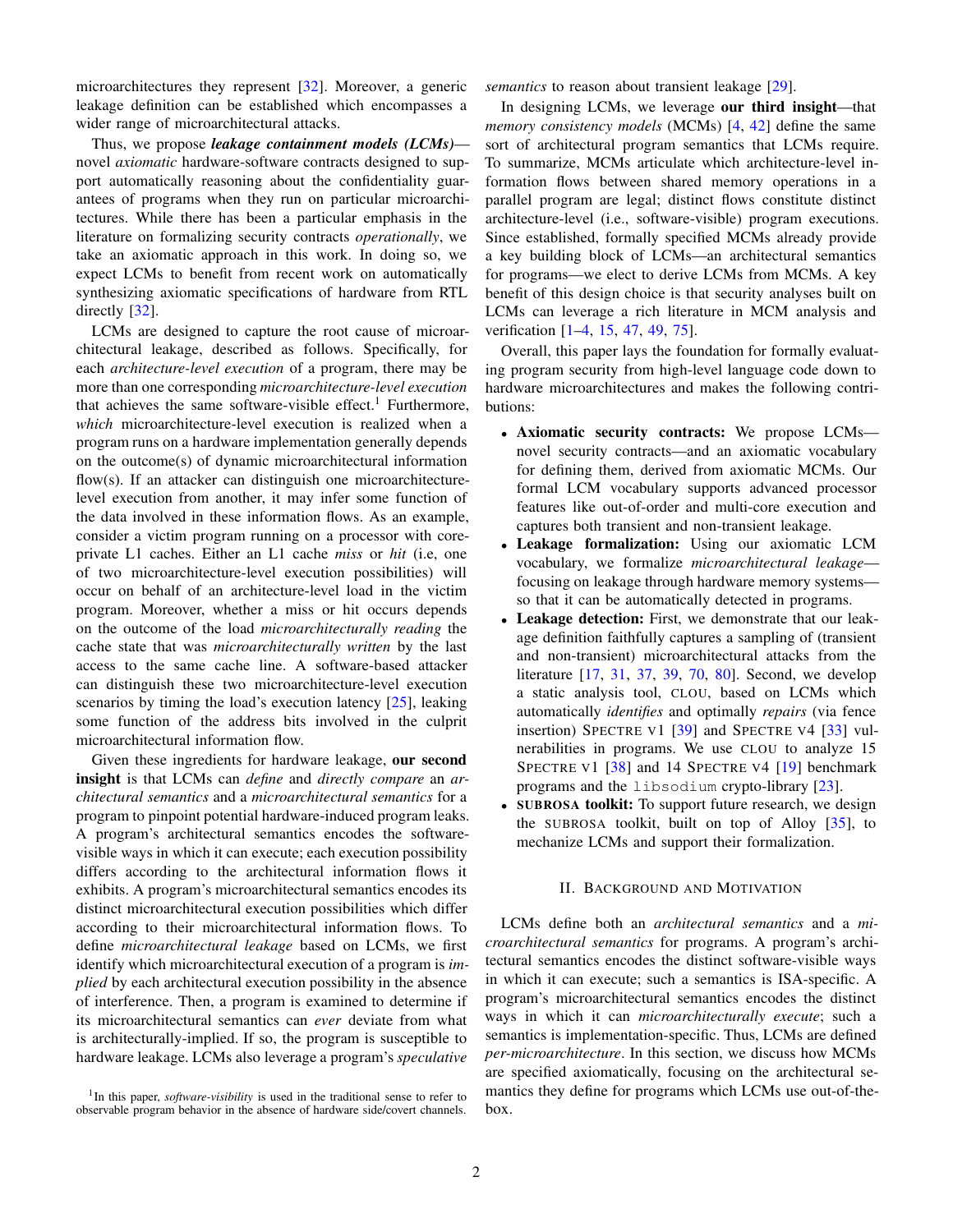microarchitectures they represent [\[32\]](#page-12-17). Moreover, a generic leakage definition can be established which encompasses a wider range of microarchitectural attacks.

Thus, we propose *leakage containment models (LCMs)* novel *axiomatic* hardware-software contracts designed to support automatically reasoning about the confidentiality guarantees of programs when they run on particular microarchitectures. While there has been a particular emphasis in the literature on formalizing security contracts *operationally*, we take an axiomatic approach in this work. In doing so, we expect LCMs to benefit from recent work on automatically synthesizing axiomatic specifications of hardware from RTL directly [\[32\]](#page-12-17).

LCMs are designed to capture the root cause of microarchitectural leakage, described as follows. Specifically, for each *architecture-level execution* of a program, there may be more than one corresponding *microarchitecture-level execution* that achieves the same software-visible effect.<sup>[1](#page-1-0)</sup> Furthermore, *which* microarchitecture-level execution is realized when a program runs on a hardware implementation generally depends on the outcome(s) of dynamic microarchitectural information flow(s). If an attacker can distinguish one microarchitecturelevel execution from another, it may infer some function of the data involved in these information flows. As an example, consider a victim program running on a processor with coreprivate L1 caches. Either an L1 cache *miss* or *hit* (i.e, one of two microarchitecture-level execution possibilities) will occur on behalf of an architecture-level load in the victim program. Moreover, whether a miss or hit occurs depends on the outcome of the load *microarchitecturally reading* the cache state that was *microarchitecturally written* by the last access to the same cache line. A software-based attacker can distinguish these two microarchitecture-level execution scenarios by timing the load's execution latency  $[25]$ , leaking some function of the address bits involved in the culprit microarchitectural information flow.

Given these ingredients for hardware leakage, our second insight is that LCMs can *define* and *directly compare* an *architectural semantics* and a *microarchitectural semantics* for a program to pinpoint potential hardware-induced program leaks. A program's architectural semantics encodes the softwarevisible ways in which it can execute; each execution possibility differs according to the architectural information flows it exhibits. A program's microarchitectural semantics encodes its distinct microarchitectural execution possibilities which differ according to their microarchitectural information flows. To define *microarchitectural leakage* based on LCMs, we first identify which microarchitectural execution of a program is *implied* by each architectural execution possibility in the absence of interference. Then, a program is examined to determine if its microarchitectural semantics can *ever* deviate from what is architecturally-implied. If so, the program is susceptible to hardware leakage. LCMs also leverage a program's *speculative*

*semantics* to reason about transient leakage [\[29\]](#page-12-14).

In designing LCMs, we leverage our third insight—that *memory consistency models* (MCMs) [\[4,](#page-11-6) [42\]](#page-12-18) define the same sort of architectural program semantics that LCMs require. To summarize, MCMs articulate which architecture-level information flows between shared memory operations in a parallel program are legal; distinct flows constitute distinct architecture-level (i.e., software-visible) program executions. Since established, formally specified MCMs already provide a key building block of LCMs—an architectural semantics for programs—we elect to derive LCMs from MCMs. A key benefit of this design choice is that security analyses built on LCMs can leverage a rich literature in MCM analysis and verification [\[1–](#page-11-7)[4,](#page-11-6) [15,](#page-11-8) [47,](#page-12-19) [49,](#page-12-20) [75\]](#page-13-9).

Overall, this paper lays the foundation for formally evaluating program security from high-level language code down to hardware microarchitectures and makes the following contributions:

- Axiomatic security contracts: We propose LCMs novel security contracts—and an axiomatic vocabulary for defining them, derived from axiomatic MCMs. Our formal LCM vocabulary supports advanced processor features like out-of-order and multi-core execution and captures both transient and non-transient leakage.
- Leakage formalization: Using our axiomatic LCM vocabulary, we formalize *microarchitectural leakage* focusing on leakage through hardware memory systems so that it can be automatically detected in programs.
- Leakage detection: First, we demonstrate that our leakage definition faithfully captures a sampling of (transient and non-transient) microarchitectural attacks from the literature [\[17,](#page-11-2) [31,](#page-12-21) [37,](#page-12-22) [39,](#page-12-8) [70,](#page-13-1) [80\]](#page-13-3). Second, we develop a static analysis tool, CLOU, based on LCMs which automatically *identifies* and optimally *repairs* (via fence insertion) SPECTRE V1 [\[39\]](#page-12-8) and SPECTRE V4 [\[33\]](#page-12-23) vulnerabilities in programs. We use CLOU to analyze 15 SPECTRE V1 [\[38\]](#page-12-24) and 14 SPECTRE V4 [\[19\]](#page-11-9) benchmark programs and the libsodium crypto-library [\[23\]](#page-12-5).
- SUBROSA toolkit: To support future research, we design the SUBROSA toolkit, built on top of Alloy [\[35\]](#page-12-25), to mechanize LCMs and support their formalization.

## II. BACKGROUND AND MOTIVATION

LCMs define both an *architectural semantics* and a *microarchitectural semantics* for programs. A program's architectural semantics encodes the distinct software-visible ways in which it can execute; such a semantics is ISA-specific. A program's microarchitectural semantics encodes the distinct ways in which it can *microarchitecturally execute*; such a semantics is implementation-specific. Thus, LCMs are defined *per-microarchitecture*. In this section, we discuss how MCMs are specified axiomatically, focusing on the architectural semantics they define for programs which LCMs use out-of-thebox.

<span id="page-1-0"></span><sup>&</sup>lt;sup>1</sup>In this paper, *software-visibility* is used in the traditional sense to refer to observable program behavior in the absence of hardware side/covert channels.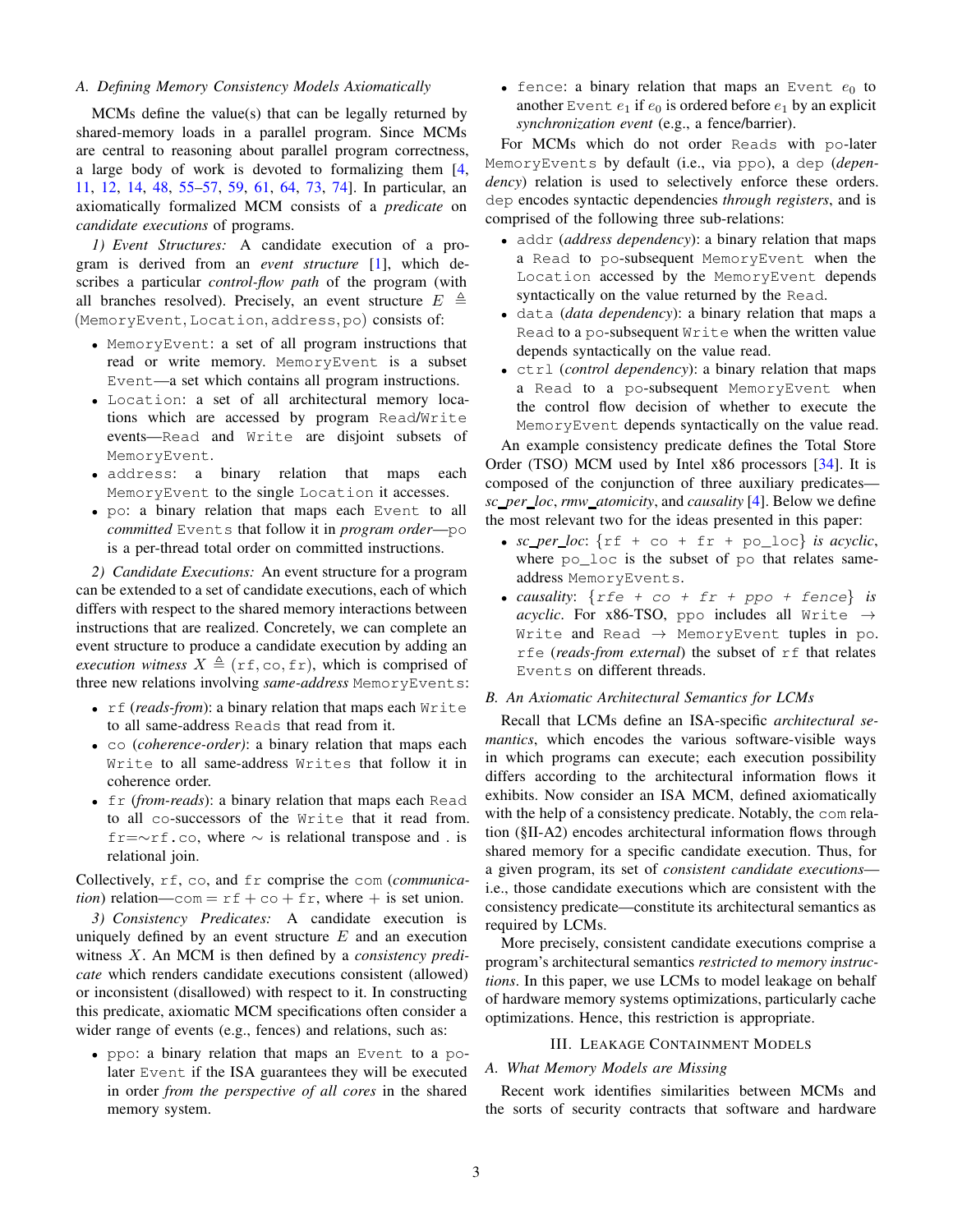## *A. Defining Memory Consistency Models Axiomatically*

MCMs define the value(s) that can be legally returned by shared-memory loads in a parallel program. Since MCMs are central to reasoning about parallel program correctness, a large body of work is devoted to formalizing them [\[4,](#page-11-6) [11,](#page-11-10) [12,](#page-11-11) [14,](#page-11-12) [48,](#page-12-26) [55](#page-12-27)[–57,](#page-12-28) [59,](#page-12-29) [61,](#page-12-30) [64,](#page-12-31) [73,](#page-13-10) [74\]](#page-13-11). In particular, an axiomatically formalized MCM consists of a *predicate* on *candidate executions* of programs.

<span id="page-2-2"></span>*1) Event Structures:* A candidate execution of a program is derived from an *event structure* [\[1\]](#page-11-7), which describes a particular *control-flow path* of the program (with all branches resolved). Precisely, an event structure  $E \triangleq$ (MemoryEvent, Location, address, po) consists of:

- MemoryEvent: a set of all program instructions that read or write memory. MemoryEvent is a subset Event—a set which contains all program instructions.
- Location: a set of all architectural memory locations which are accessed by program Read/Write events—Read and Write are disjoint subsets of MemoryEvent.
- address: a binary relation that maps each MemoryEvent to the single Location it accesses.
- po: a binary relation that maps each Event to all *committed* Events that follow it in *program order*—po is a per-thread total order on committed instructions.

<span id="page-2-0"></span>*2) Candidate Executions:* An event structure for a program can be extended to a set of candidate executions, each of which differs with respect to the shared memory interactions between instructions that are realized. Concretely, we can complete an event structure to produce a candidate execution by adding an *execution witness*  $X \triangleq (r f, c o, fr)$ , which is comprised of three new relations involving *same-address* MemoryEvents:

- rf (*reads-from*): a binary relation that maps each Write to all same-address Reads that read from it.
- co (*coherence-order)*: a binary relation that maps each Write to all same-address Writes that follow it in coherence order.
- fr (*from-reads*): a binary relation that maps each Read to all co-successors of the Write that it read from.  $f = \sim r f$ .co, where  $\sim$  is relational transpose and . is relational join.

Collectively, rf, co, and fr comprise the com (*communication*) relation—com =  $rf + co + fr$ , where + is set union.

<span id="page-2-1"></span>*3) Consistency Predicates:* A candidate execution is uniquely defined by an event structure  $E$  and an execution witness X. An MCM is then defined by a *consistency predicate* which renders candidate executions consistent (allowed) or inconsistent (disallowed) with respect to it. In constructing this predicate, axiomatic MCM specifications often consider a wider range of events (e.g., fences) and relations, such as:

• ppo: a binary relation that maps an Event to a polater Event if the ISA guarantees they will be executed in order *from the perspective of all cores* in the shared memory system.

• fence: a binary relation that maps an Event  $e_0$  to another Event  $e_1$  if  $e_0$  is ordered before  $e_1$  by an explicit *synchronization event* (e.g., a fence/barrier).

For MCMs which do not order Reads with po-later MemoryEvents by default (i.e., via ppo), a dep (*dependency*) relation is used to selectively enforce these orders. dep encodes syntactic dependencies *through registers*, and is comprised of the following three sub-relations:

- addr (*address dependency*): a binary relation that maps a Read to po-subsequent MemoryEvent when the Location accessed by the MemoryEvent depends syntactically on the value returned by the Read.
- data (*data dependency*): a binary relation that maps a Read to a po-subsequent Write when the written value depends syntactically on the value read.
- ctrl (*control dependency*): a binary relation that maps a Read to a po-subsequent MemoryEvent when the control flow decision of whether to execute the MemoryEvent depends syntactically on the value read.

An example consistency predicate defines the Total Store Order (TSO) MCM used by Intel x86 processors [\[34\]](#page-12-32). It is composed of the conjunction of three auxiliary predicates *sc per loc*, *rmw atomicity*, and *causality* [\[4\]](#page-11-6). Below we define the most relevant two for the ideas presented in this paper:

- $sc\_per\_loc$ :  $\{ \text{rf} + \text{co} + \text{fr} + \text{po\_loc} \}$  *is acyclic*, where  $po\_loc$  is the subset of po that relates sameaddress MemoryEvents.
- *causality*: {rfe + co + fr + ppo + fence} *is acyclic*. For x86-TSO, ppo includes all Write  $\rightarrow$ Write and Read  $\rightarrow$  MemoryEvent tuples in po. rfe (*reads-from external*) the subset of rf that relates Events on different threads.

## *B. An Axiomatic Architectural Semantics for LCMs*

Recall that LCMs define an ISA-specific *architectural semantics*, which encodes the various software-visible ways in which programs can execute; each execution possibility differs according to the architectural information flows it exhibits. Now consider an ISA MCM, defined axiomatically with the help of a consistency predicate. Notably, the com relation ([§II-A2\)](#page-2-0) encodes architectural information flows through shared memory for a specific candidate execution. Thus, for a given program, its set of *consistent candidate executions* i.e., those candidate executions which are consistent with the consistency predicate—constitute its architectural semantics as required by LCMs.

More precisely, consistent candidate executions comprise a program's architectural semantics *restricted to memory instructions*. In this paper, we use LCMs to model leakage on behalf of hardware memory systems optimizations, particularly cache optimizations. Hence, this restriction is appropriate.

## III. LEAKAGE CONTAINMENT MODELS

## <span id="page-2-3"></span>*A. What Memory Models are Missing*

Recent work identifies similarities between MCMs and the sorts of security contracts that software and hardware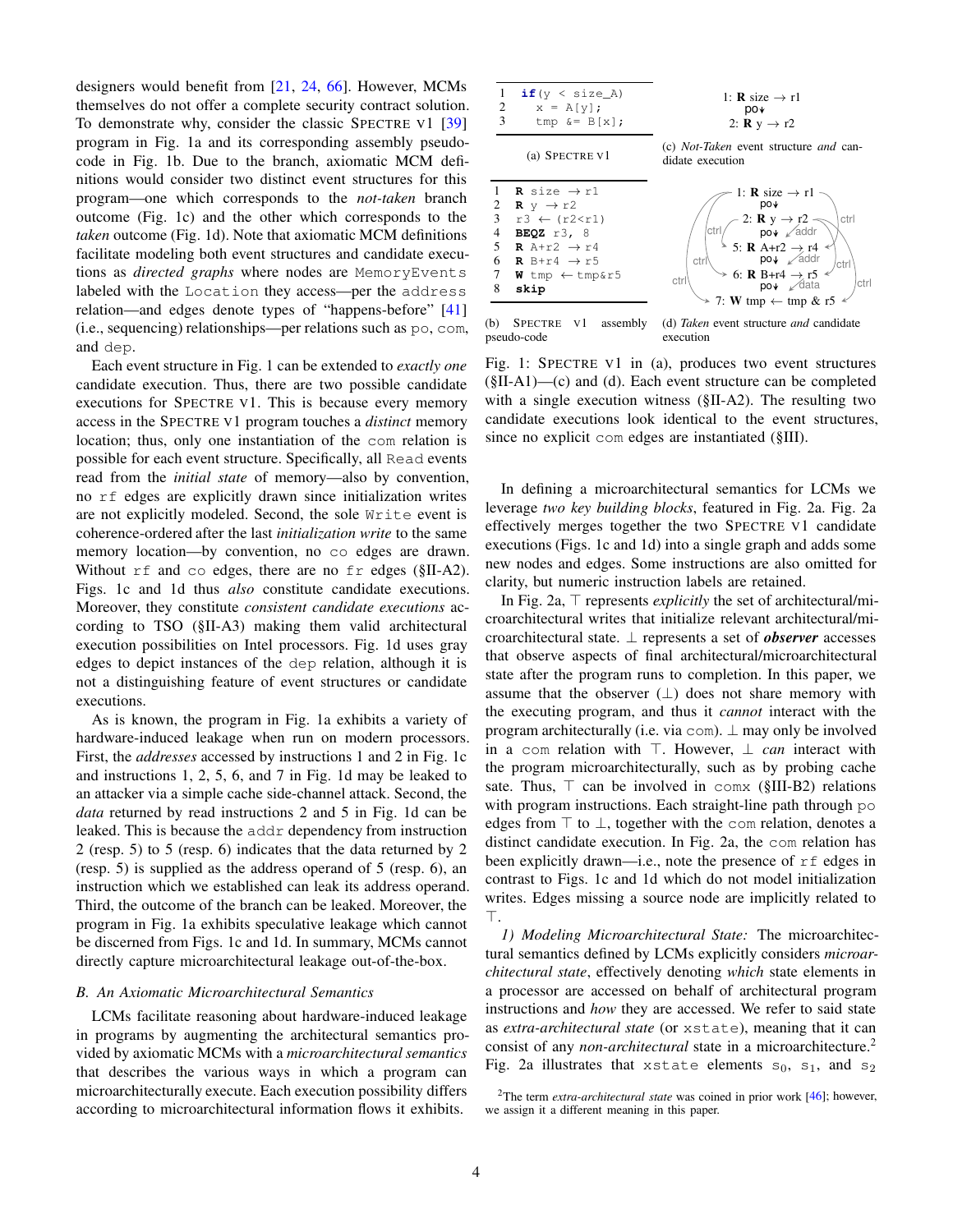designers would benefit from [\[21,](#page-12-12) [24,](#page-12-13) [66\]](#page-13-12). However, MCMs themselves do not offer a complete security contract solution. To demonstrate why, consider the classic SPECTRE V1 [\[39\]](#page-12-8) program in Fig. [1a](#page-3-0) and its corresponding assembly pseudocode in Fig. [1b.](#page-3-1) Due to the branch, axiomatic MCM definitions would consider two distinct event structures for this program—one which corresponds to the *not-taken* branch outcome (Fig. [1c\)](#page-3-2) and the other which corresponds to the *taken* outcome (Fig. [1d\)](#page-3-3). Note that axiomatic MCM definitions facilitate modeling both event structures and candidate executions as *directed graphs* where nodes are MemoryEvents labeled with the Location they access—per the address relation—and edges denote types of "happens-before" [\[41\]](#page-12-33) (i.e., sequencing) relationships—per relations such as po, com, and dep.

Each event structure in Fig. [1](#page-3-4) can be extended to *exactly one* candidate execution. Thus, there are two possible candidate executions for SPECTRE V1. This is because every memory access in the SPECTRE V1 program touches a *distinct* memory location; thus, only one instantiation of the com relation is possible for each event structure. Specifically, all Read events read from the *initial state* of memory—also by convention, no rf edges are explicitly drawn since initialization writes are not explicitly modeled. Second, the sole Write event is coherence-ordered after the last *initialization write* to the same memory location—by convention, no co edges are drawn. Without rf and co edges, there are no fr edges ([§II-A2\)](#page-2-0). Figs. [1c](#page-3-2) and [1d](#page-3-3) thus *also* constitute candidate executions. Moreover, they constitute *consistent candidate executions* according to TSO ([§II-A3\)](#page-2-1) making them valid architectural execution possibilities on Intel processors. Fig. [1d](#page-3-3) uses gray edges to depict instances of the dep relation, although it is not a distinguishing feature of event structures or candidate executions.

As is known, the program in Fig. [1a](#page-3-0) exhibits a variety of hardware-induced leakage when run on modern processors. First, the *addresses* accessed by instructions 1 and 2 in Fig. [1c](#page-3-2) and instructions 1, 2, 5, 6, and 7 in Fig. [1d](#page-3-3) may be leaked to an attacker via a simple cache side-channel attack. Second, the *data* returned by read instructions 2 and 5 in Fig. [1d](#page-3-3) can be leaked. This is because the addr dependency from instruction 2 (resp. 5) to 5 (resp. 6) indicates that the data returned by 2 (resp. 5) is supplied as the address operand of 5 (resp. 6), an instruction which we established can leak its address operand. Third, the outcome of the branch can be leaked. Moreover, the program in Fig. [1a](#page-3-0) exhibits speculative leakage which cannot be discerned from Figs. [1c](#page-3-2) and [1d.](#page-3-3) In summary, MCMs cannot directly capture microarchitectural leakage out-of-the-box.

#### *B. An Axiomatic Microarchitectural Semantics*

LCMs facilitate reasoning about hardware-induced leakage in programs by augmenting the architectural semantics provided by axiomatic MCMs with a *microarchitectural semantics* that describes the various ways in which a program can microarchitecturally execute. Each execution possibility differs according to microarchitectural information flows it exhibits.

<span id="page-3-4"></span><span id="page-3-3"></span><span id="page-3-2"></span><span id="page-3-1"></span><span id="page-3-0"></span>

(b) SPECTRE V1 assembly pseudo-code (d) *Taken* event structure *and* candidate execution

Fig. 1: SPECTRE V1 in [\(a\),](#page-3-0) produces two event structures ([§II-A1\)](#page-2-2)[—\(c\)](#page-3-2) and [\(d\).](#page-3-3) Each event structure can be completed with a single execution witness ([§II-A2\)](#page-2-0). The resulting two candidate executions look identical to the event structures, since no explicit com edges are instantiated ([§III\)](#page-2-3).

In defining a microarchitectural semantics for LCMs we leverage *two key building blocks*, featured in Fig. [2a.](#page-5-0) Fig. [2a](#page-5-0) effectively merges together the two SPECTRE V1 candidate executions (Figs. [1c](#page-3-2) and [1d\)](#page-3-3) into a single graph and adds some new nodes and edges. Some instructions are also omitted for clarity, but numeric instruction labels are retained.

In Fig. [2a,](#page-5-0) ⊤ represents *explicitly* the set of architectural/microarchitectural writes that initialize relevant architectural/microarchitectural state. ⊥ represents a set of *observer* accesses that observe aspects of final architectural/microarchitectural state after the program runs to completion. In this paper, we assume that the observer  $(\perp)$  does not share memory with the executing program, and thus it *cannot* interact with the program architecturally (i.e. via com). ⊥ may only be involved in a com relation with ⊤. However, ⊥ *can* interact with the program microarchitecturally, such as by probing cache sate. Thus,  $\top$  can be involved in comx ([§III-B2\)](#page-4-0) relations with program instructions. Each straight-line path through po edges from  $\top$  to  $\bot$ , together with the com relation, denotes a distinct candidate execution. In Fig. [2a,](#page-5-0) the com relation has been explicitly drawn—i.e., note the presence of  $rf$  edges in contrast to Figs. [1c](#page-3-2) and [1d](#page-3-3) which do not model initialization writes. Edges missing a source node are implicitly related to ⊤.

<span id="page-3-6"></span>*1) Modeling Microarchitectural State:* The microarchitectural semantics defined by LCMs explicitly considers *microarchitectural state*, effectively denoting *which* state elements in a processor are accessed on behalf of architectural program instructions and *how* they are accessed. We refer to said state as *extra-architectural state* (or xstate), meaning that it can consist of any *non-architectural* state in a microarchitecture.[2](#page-3-5) Fig. [2a](#page-5-0) illustrates that xstate elements  $s_0$ ,  $s_1$ , and  $s_2$ 

<span id="page-3-5"></span><sup>&</sup>lt;sup>2</sup>The term *extra-architectural state* was coined in prior work [\[46\]](#page-12-34); however, we assign it a different meaning in this paper.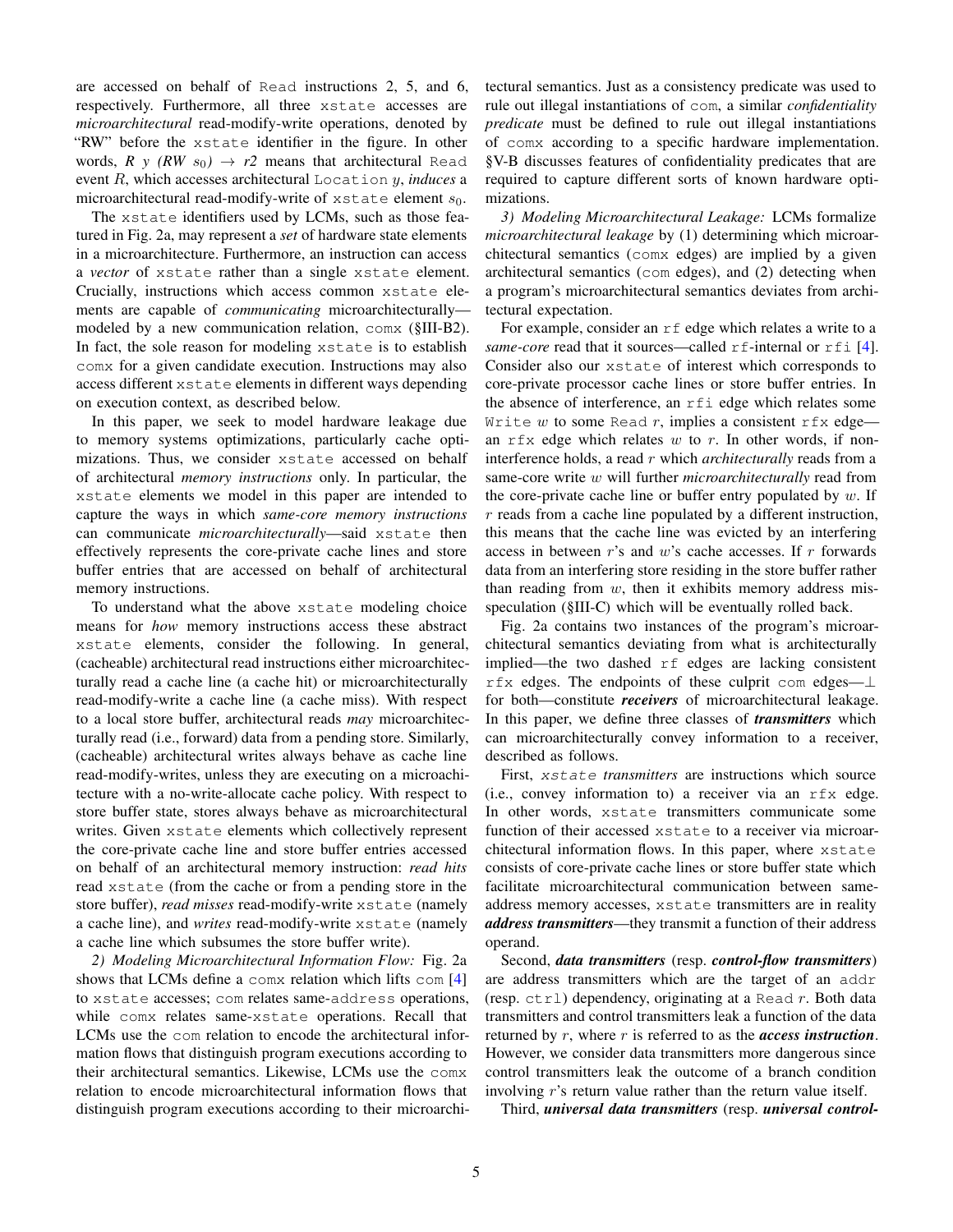are accessed on behalf of Read instructions 2, 5, and 6, respectively. Furthermore, all three xstate accesses are *microarchitectural* read-modify-write operations, denoted by "RW" before the xstate identifier in the figure. In other words,  $R y (RW s_0) \rightarrow r2$  means that architectural Read event R, which accesses architectural Location y, *induces* a microarchitectural read-modify-write of  $x$ state element  $s_0$ .

The xstate identifiers used by LCMs, such as those featured in Fig. [2a,](#page-5-0) may represent a *set* of hardware state elements in a microarchitecture. Furthermore, an instruction can access a *vector* of xstate rather than a single xstate element. Crucially, instructions which access common xstate elements are capable of *communicating* microarchitecturally modeled by a new communication relation, comx ([§III-B2\)](#page-4-0). In fact, the sole reason for modeling xstate is to establish comx for a given candidate execution. Instructions may also access different xstate elements in different ways depending on execution context, as described below.

In this paper, we seek to model hardware leakage due to memory systems optimizations, particularly cache optimizations. Thus, we consider xstate accessed on behalf of architectural *memory instructions* only. In particular, the xstate elements we model in this paper are intended to capture the ways in which *same-core memory instructions* can communicate *microarchitecturally*—said xstate then effectively represents the core-private cache lines and store buffer entries that are accessed on behalf of architectural memory instructions.

To understand what the above xstate modeling choice means for *how* memory instructions access these abstract xstate elements, consider the following. In general, (cacheable) architectural read instructions either microarchitecturally read a cache line (a cache hit) or microarchitecturally read-modify-write a cache line (a cache miss). With respect to a local store buffer, architectural reads *may* microarchitecturally read (i.e., forward) data from a pending store. Similarly, (cacheable) architectural writes always behave as cache line read-modify-writes, unless they are executing on a microachitecture with a no-write-allocate cache policy. With respect to store buffer state, stores always behave as microarchitectural writes. Given xstate elements which collectively represent the core-private cache line and store buffer entries accessed on behalf of an architectural memory instruction: *read hits* read xstate (from the cache or from a pending store in the store buffer), *read misses* read-modify-write xstate (namely a cache line), and *writes* read-modify-write xstate (namely a cache line which subsumes the store buffer write).

<span id="page-4-0"></span>*2) Modeling Microarchitectural Information Flow:* Fig. [2a](#page-5-0) shows that LCMs define a comx relation which lifts com [\[4\]](#page-11-6) to xstate accesses; com relates same-address operations, while comx relates same-xstate operations. Recall that LCMs use the com relation to encode the architectural information flows that distinguish program executions according to their architectural semantics. Likewise, LCMs use the comx relation to encode microarchitectural information flows that distinguish program executions according to their microarchitectural semantics. Just as a consistency predicate was used to rule out illegal instantiations of com, a similar *confidentiality predicate* must be defined to rule out illegal instantiations of comx according to a specific hardware implementation. [§V-B](#page-6-0) discusses features of confidentiality predicates that are required to capture different sorts of known hardware optimizations.

<span id="page-4-1"></span>*3) Modeling Microarchitectural Leakage:* LCMs formalize *microarchitectural leakage* by (1) determining which microarchitectural semantics (comx edges) are implied by a given architectural semantics (com edges), and (2) detecting when a program's microarchitectural semantics deviates from architectural expectation.

For example, consider an  $rf$  edge which relates a write to a *same-core* read that it sources—called r f-internal or r f i [\[4\]](#page-11-6). Consider also our xstate of interest which corresponds to core-private processor cache lines or store buffer entries. In the absence of interference, an rfi edge which relates some Write w to some Read r, implies a consistent  $rfx$  edge an  $rfx$  edge which relates w to r. In other words, if noninterference holds, a read r which *architecturally* reads from a same-core write w will further *microarchitecturally* read from the core-private cache line or buffer entry populated by  $w$ . If  $r$  reads from a cache line populated by a different instruction, this means that the cache line was evicted by an interfering access in between  $r$ 's and  $w$ 's cache accesses. If  $r$  forwards data from an interfering store residing in the store buffer rather than reading from  $w$ , then it exhibits memory address misspeculation ([§III-C\)](#page-5-1) which will be eventually rolled back.

Fig. [2a](#page-5-0) contains two instances of the program's microarchitectural semantics deviating from what is architecturally implied—the two dashed rf edges are lacking consistent rfx edges. The endpoints of these culprit com edges—⊥ for both—constitute *receivers* of microarchitectural leakage. In this paper, we define three classes of *transmitters* which can microarchitecturally convey information to a receiver, described as follows.

First, xstate *transmitters* are instructions which source (i.e., convey information to) a receiver via an rfx edge. In other words, xstate transmitters communicate some function of their accessed xstate to a receiver via microarchitectural information flows. In this paper, where xstate consists of core-private cache lines or store buffer state which facilitate microarchitectural communication between sameaddress memory accesses, xstate transmitters are in reality *address transmitters*—they transmit a function of their address operand.

Second, *data transmitters* (resp. *control-flow transmitters*) are address transmitters which are the target of an addr (resp.  $ctrl$ ) dependency, originating at a Read r. Both data transmitters and control transmitters leak a function of the data returned by r, where r is referred to as the *access instruction*. However, we consider data transmitters more dangerous since control transmitters leak the outcome of a branch condition involving r's return value rather than the return value itself.

Third, *universal data transmitters* (resp. *universal control-*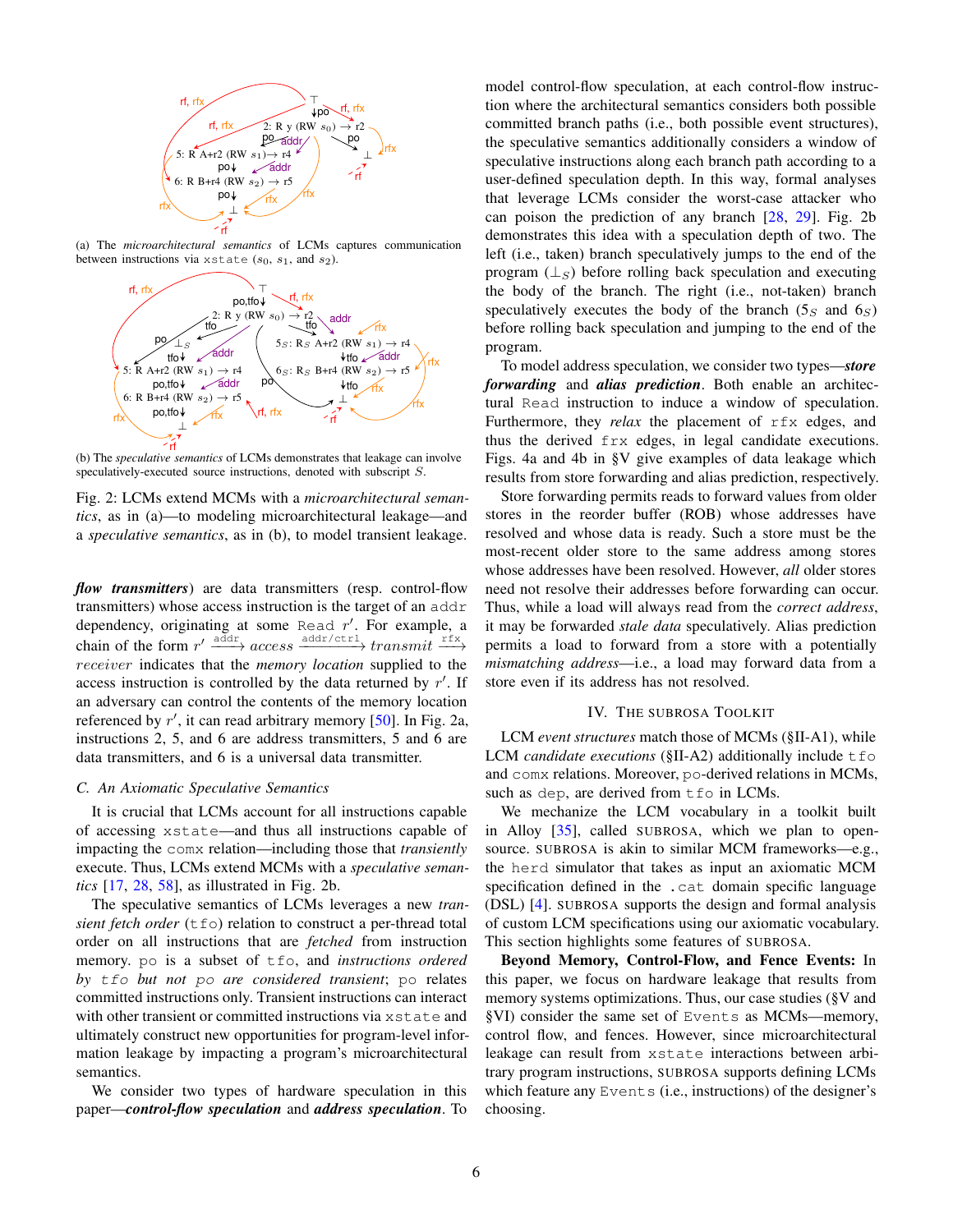<span id="page-5-0"></span>

<span id="page-5-2"></span>(a) The *microarchitectural semantics* of LCMs captures communication between instructions via xstate  $(s_0, s_1,$  and  $s_2)$ .



(b) The *speculative semantics* of LCMs demonstrates that leakage can involve speculatively-executed source instructions, denoted with subscript S.

Fig. 2: LCMs extend MCMs with a *microarchitectural semantics*, as in [\(a\)—](#page-5-0)to modeling microarchitectural leakage—and a *speculative semantics*, as in [\(b\),](#page-5-2) to model transient leakage.

*flow transmitters*) are data transmitters (resp. control-flow transmitters) whose access instruction is the target of an addr dependency, originating at some Read  $r'$ . For example, a chain of the form  $r' \xrightarrow{\text{addr/ctr1}} \text{transmit} \xrightarrow{\text{rfx}}$ receiver indicates that the *memory location* supplied to the access instruction is controlled by the data returned by  $r'$ . If an adversary can control the contents of the memory location referenced by r', it can read arbitrary memory [\[50\]](#page-12-15). In Fig. [2a,](#page-5-0) instructions 2, 5, and 6 are address transmitters, 5 and 6 are data transmitters, and 6 is a universal data transmitter.

## <span id="page-5-1"></span>*C. An Axiomatic Speculative Semantics*

It is crucial that LCMs account for all instructions capable of accessing xstate—and thus all instructions capable of impacting the comx relation—including those that *transiently* execute. Thus, LCMs extend MCMs with a *speculative semantics* [\[17,](#page-11-2) [28,](#page-12-16) [58\]](#page-12-35), as illustrated in Fig. [2b.](#page-5-2)

The speculative semantics of LCMs leverages a new *tran*sient fetch order (tfo) relation to construct a per-thread total order on all instructions that are *fetched* from instruction memory. po is a subset of tfo, and *instructions ordered by* tfo *but not* po *are considered transient*; po relates committed instructions only. Transient instructions can interact with other transient or committed instructions via xstate and ultimately construct new opportunities for program-level information leakage by impacting a program's microarchitectural semantics.

We consider two types of hardware speculation in this paper—*control-flow speculation* and *address speculation*. To model control-flow speculation, at each control-flow instruction where the architectural semantics considers both possible committed branch paths (i.e., both possible event structures), the speculative semantics additionally considers a window of speculative instructions along each branch path according to a user-defined speculation depth. In this way, formal analyses that leverage LCMs consider the worst-case attacker who can poison the prediction of any branch [\[28,](#page-12-16) [29\]](#page-12-14). Fig. [2b](#page-5-2) demonstrates this idea with a speculation depth of two. The left (i.e., taken) branch speculatively jumps to the end of the program  $(\perp_S)$  before rolling back speculation and executing the body of the branch. The right (i.e., not-taken) branch speculatively executes the body of the branch  $(5_S \text{ and } 6_S)$ before rolling back speculation and jumping to the end of the program.

To model address speculation, we consider two types—*store forwarding* and *alias prediction*. Both enable an architectural Read instruction to induce a window of speculation. Furthermore, they *relax* the placement of rfx edges, and thus the derived frx edges, in legal candidate executions. Figs. [4a](#page-7-0) and [4b](#page-7-1) in [§V](#page-6-1) give examples of data leakage which results from store forwarding and alias prediction, respectively.

Store forwarding permits reads to forward values from older stores in the reorder buffer (ROB) whose addresses have resolved and whose data is ready. Such a store must be the most-recent older store to the same address among stores whose addresses have been resolved. However, *all* older stores need not resolve their addresses before forwarding can occur. Thus, while a load will always read from the *correct address*, it may be forwarded *stale data* speculatively. Alias prediction permits a load to forward from a store with a potentially *mismatching address*—i.e., a load may forward data from a store even if its address has not resolved.

#### IV. THE SUBROSA TOOLKIT

<span id="page-5-3"></span>LCM *event structures* match those of MCMs ([§II-A1\)](#page-2-2), while LCM *candidate executions* ([§II-A2\)](#page-2-0) additionally include tfo and comx relations. Moreover, po-derived relations in MCMs, such as dep, are derived from  $\text{\texttt{tfo}}$  in LCMs.

We mechanize the LCM vocabulary in a toolkit built in Alloy [\[35\]](#page-12-25), called SUBROSA, which we plan to opensource. SUBROSA is akin to similar MCM frameworks—e.g., the herd simulator that takes as input an axiomatic MCM specification defined in the .cat domain specific language (DSL) [\[4\]](#page-11-6). SUBROSA supports the design and formal analysis of custom LCM specifications using our axiomatic vocabulary. This section highlights some features of SUBROSA.

Beyond Memory, Control-Flow, and Fence Events: In this paper, we focus on hardware leakage that results from memory systems optimizations. Thus, our case studies ([§V](#page-6-1) and [§VI\)](#page-8-0) consider the same set of Events as MCMs—memory, control flow, and fences. However, since microarchitectural leakage can result from xstate interactions between arbitrary program instructions, SUBROSA supports defining LCMs which feature any Events (i.e., instructions) of the designer's choosing.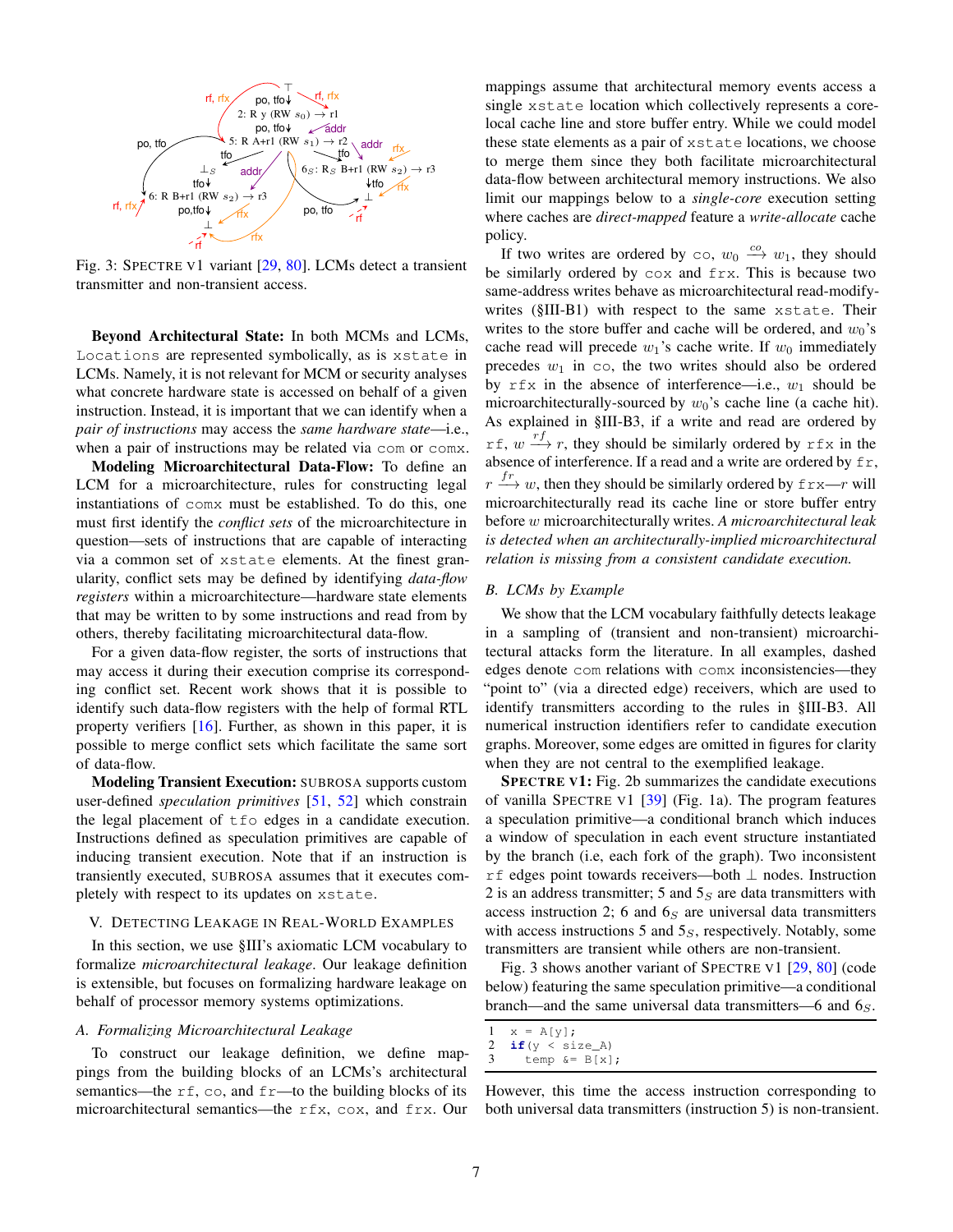<span id="page-6-2"></span>

Fig. 3: SPECTRE V1 variant [\[29,](#page-12-14) [80\]](#page-13-3). LCMs detect a transient transmitter and non-transient access.

Beyond Architectural State: In both MCMs and LCMs, Locations are represented symbolically, as is xstate in LCMs. Namely, it is not relevant for MCM or security analyses what concrete hardware state is accessed on behalf of a given instruction. Instead, it is important that we can identify when a *pair of instructions* may access the *same hardware state*—i.e., when a pair of instructions may be related via com or comx.

Modeling Microarchitectural Data-Flow: To define an LCM for a microarchitecture, rules for constructing legal instantiations of comx must be established. To do this, one must first identify the *conflict sets* of the microarchitecture in question—sets of instructions that are capable of interacting via a common set of xstate elements. At the finest granularity, conflict sets may be defined by identifying *data-flow registers* within a microarchitecture—hardware state elements that may be written to by some instructions and read from by others, thereby facilitating microarchitectural data-flow.

For a given data-flow register, the sorts of instructions that may access it during their execution comprise its corresponding conflict set. Recent work shows that it is possible to identify such data-flow registers with the help of formal RTL property verifiers [\[16\]](#page-11-13). Further, as shown in this paper, it is possible to merge conflict sets which facilitate the same sort of data-flow.

Modeling Transient Execution: SUBROSA supports custom user-defined *speculation primitives* [\[51,](#page-12-36) [52\]](#page-12-37) which constrain the legal placement of tfo edges in a candidate execution. Instructions defined as speculation primitives are capable of inducing transient execution. Note that if an instruction is transiently executed, SUBROSA assumes that it executes completely with respect to its updates on xstate.

#### <span id="page-6-1"></span>V. DETECTING LEAKAGE IN REAL-WORLD EXAMPLES

In this section, we use [§III'](#page-2-3)s axiomatic LCM vocabulary to formalize *microarchitectural leakage*. Our leakage definition is extensible, but focuses on formalizing hardware leakage on behalf of processor memory systems optimizations.

## <span id="page-6-3"></span>*A. Formalizing Microarchitectural Leakage*

To construct our leakage definition, we define mappings from the building blocks of an LCMs's architectural semantics—the  $rf$ , co, and  $fr$ —to the building blocks of its microarchitectural semantics—the rfx, cox, and frx. Our

mappings assume that architectural memory events access a single xstate location which collectively represents a corelocal cache line and store buffer entry. While we could model these state elements as a pair of xstate locations, we choose to merge them since they both facilitate microarchitectural data-flow between architectural memory instructions. We also limit our mappings below to a *single-core* execution setting where caches are *direct-mapped* feature a *write-allocate* cache policy.

If two writes are ordered by co,  $w_0 \stackrel{co}{\longrightarrow} w_1$ , they should be similarly ordered by cox and frx. This is because two same-address writes behave as microarchitectural read-modifywrites ([§III-B1\)](#page-3-6) with respect to the same xstate. Their writes to the store buffer and cache will be ordered, and  $w_0$ 's cache read will precede  $w_1$ 's cache write. If  $w_0$  immediately precedes  $w_1$  in  $\infty$ , the two writes should also be ordered by  $rfx$  in the absence of interference—i.e.,  $w_1$  should be microarchitecturally-sourced by  $w_0$ 's cache line (a cache hit). As explained in [§III-B3,](#page-4-1) if a write and read are ordered by rf,  $w \xrightarrow{rf} r$ , they should be similarly ordered by rfx in the absence of interference. If a read and a write are ordered by  $f$ r,  $r \stackrel{fr}{\longrightarrow} w$ , then they should be similarly ordered by  $f(x) = r$  will microarchitecturally read its cache line or store buffer entry before w microarchitecturally writes. *A microarchitectural leak is detected when an architecturally-implied microarchitectural relation is missing from a consistent candidate execution.*

### <span id="page-6-0"></span>*B. LCMs by Example*

We show that the LCM vocabulary faithfully detects leakage in a sampling of (transient and non-transient) microarchitectural attacks form the literature. In all examples, dashed edges denote com relations with comx inconsistencies—they "point to" (via a directed edge) receivers, which are used to identify transmitters according to the rules in [§III-B3.](#page-4-1) All numerical instruction identifiers refer to candidate execution graphs. Moreover, some edges are omitted in figures for clarity when they are not central to the exemplified leakage.

SPECTRE V1: Fig. [2b](#page-5-2) summarizes the candidate executions of vanilla SPECTRE V1 [\[39\]](#page-12-8) (Fig. [1a\)](#page-3-0). The program features a speculation primitive—a conditional branch which induces a window of speculation in each event structure instantiated by the branch (i.e, each fork of the graph). Two inconsistent rf edges point towards receivers—both ⊥ nodes. Instruction 2 is an address transmitter; 5 and  $5<sub>S</sub>$  are data transmitters with access instruction 2; 6 and  $6<sub>S</sub>$  are universal data transmitters with access instructions 5 and  $5<sub>S</sub>$ , respectively. Notably, some transmitters are transient while others are non-transient.

Fig. [3](#page-6-2) shows another variant of SPECTRE V1 [\[29,](#page-12-14) [80\]](#page-13-3) (code below) featuring the same speculation primitive—a conditional branch—and the same universal data transmitters—6 and  $6<sub>S</sub>$ .

```
1 \times = A[y];
2 if(y < size_A)<br>3 temp \&= B[x]
```

```
temp &= B[x];
```
However, this time the access instruction corresponding to both universal data transmitters (instruction 5) is non-transient.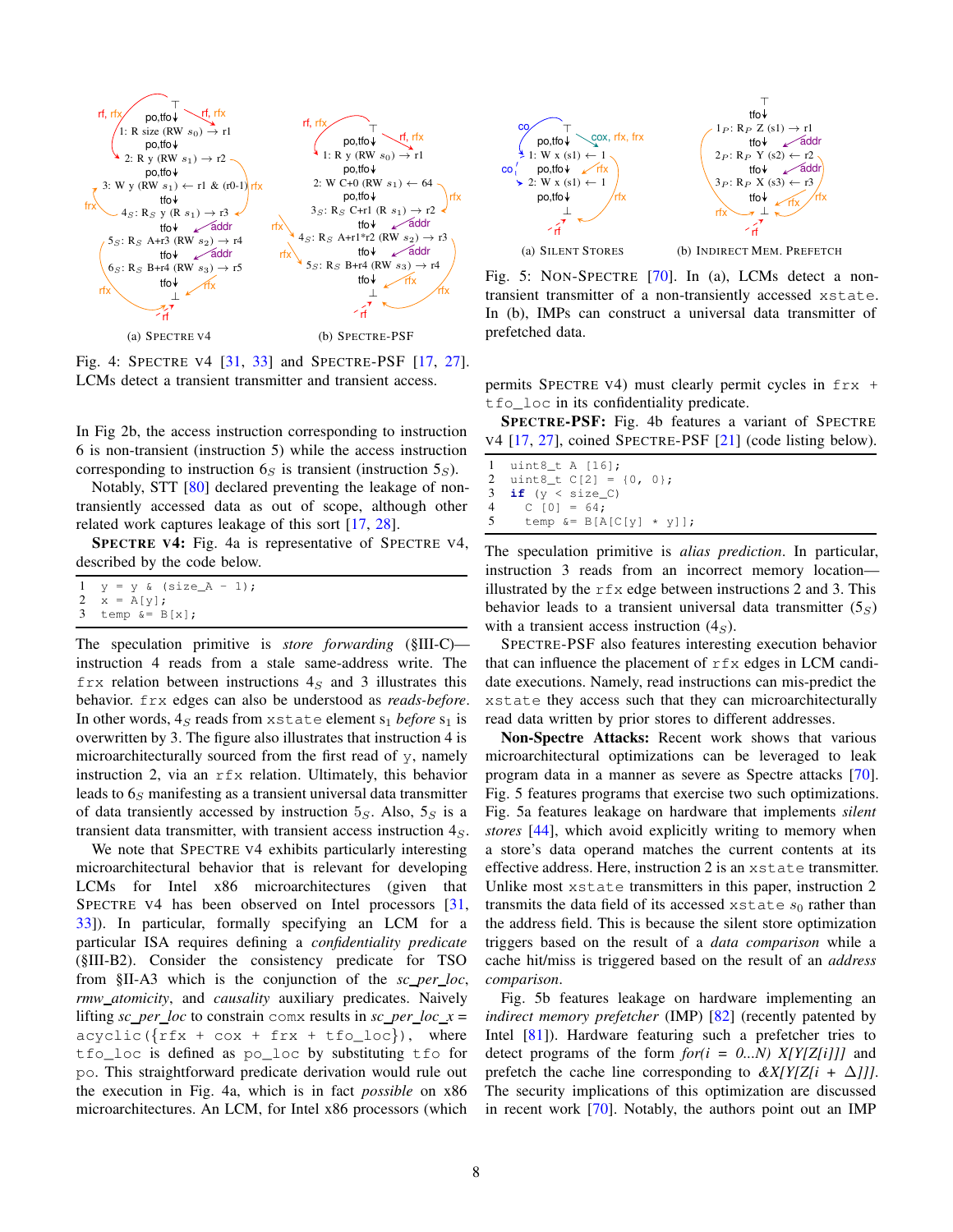<span id="page-7-0"></span>

<span id="page-7-1"></span>Fig. 4: SPECTRE V4 [\[31,](#page-12-21) [33\]](#page-12-23) and SPECTRE-PSF [\[17,](#page-11-2) [27\]](#page-12-1). LCMs detect a transient transmitter and transient access.

In Fig [2b,](#page-5-2) the access instruction corresponding to instruction 6 is non-transient (instruction 5) while the access instruction corresponding to instruction  $6<sub>S</sub>$  is transient (instruction  $5<sub>S</sub>$ ).

Notably, STT [\[80\]](#page-13-3) declared preventing the leakage of nontransiently accessed data as out of scope, although other related work captures leakage of this sort [\[17,](#page-11-2) [28\]](#page-12-16).

SPECTRE V4: Fig. [4a](#page-7-0) is representative of SPECTRE V4, described by the code below.

 $1 \quad y = y \quad (size_A - 1);$ <br>  $2 \quad x = A[y];$  $x = A[y]$ ; 3 temp  $&= B[x]$ ;

The speculation primitive is *store forwarding* ([§III-C\)](#page-5-1) instruction 4 reads from a stale same-address write. The  $f_{\text{TX}}$  relation between instructions  $4<sub>S</sub>$  and 3 illustrates this behavior. frx edges can also be understood as *reads-before*. In other words,  $4_S$  reads from xstate element  $s_1$  *before*  $s_1$  is overwritten by 3. The figure also illustrates that instruction 4 is microarchitecturally sourced from the first read of y, namely instruction 2, via an rfx relation. Ultimately, this behavior leads to  $6s$  manifesting as a transient universal data transmitter of data transiently accessed by instruction  $5<sub>S</sub>$ . Also,  $5<sub>S</sub>$  is a transient data transmitter, with transient access instruction  $4<sub>S</sub>$ .

We note that SPECTRE V4 exhibits particularly interesting microarchitectural behavior that is relevant for developing LCMs for Intel x86 microarchitectures (given that SPECTRE V4 has been observed on Intel processors [\[31,](#page-12-21) [33\]](#page-12-23)). In particular, formally specifying an LCM for a particular ISA requires defining a *confidentiality predicate* ([§III-B2\)](#page-4-0). Consider the consistency predicate for TSO from [§II-A3](#page-2-1) which is the conjunction of the *sc per loc*, *rmw atomicity*, and *causality* auxiliary predicates. Naively lifting *sc\_per\_loc* to constrain comx results in *sc\_per\_loc\_x* =  $acyclic({frfx + cos + frx + tfo\_loc}), where$ tfo\_loc is defined as po\_loc by substituting tfo for po. This straightforward predicate derivation would rule out the execution in Fig. [4a,](#page-7-0) which is in fact *possible* on x86 microarchitectures. An LCM, for Intel x86 processors (which

<span id="page-7-4"></span><span id="page-7-2"></span>

<span id="page-7-3"></span>Fig. 5: NON-SPECTRE [\[70\]](#page-13-1). In [\(a\),](#page-7-2) LCMs detect a nontransient transmitter of a non-transiently accessed xstate. In [\(b\),](#page-7-3) IMPs can construct a universal data transmitter of prefetched data.

permits SPECTRE V4) must clearly permit cycles in frx + tfo\_loc in its confidentiality predicate.

SPECTRE-PSF: Fig. [4b](#page-7-1) features a variant of SPECTRE V4 [\[17,](#page-11-2) [27\]](#page-12-1), coined SPECTRE-PSF [\[21\]](#page-12-12) (code listing below).

```
1 uint8_t A [16];
2 uint8_t C[2] = {0, 0};<br>3 if (y < size_C)if (y < size_C)4 C [0] = 64;<br>5 temp \&= B[A]temp &= B[A[C[y] * y]];
```
The speculation primitive is *alias prediction*. In particular, instruction 3 reads from an incorrect memory location illustrated by the  $rfx$  edge between instructions 2 and 3. This behavior leads to a transient universal data transmitter  $(5<sub>S</sub>)$ with a transient access instruction  $(4<sub>S</sub>)$ .

SPECTRE-PSF also features interesting execution behavior that can influence the placement of  $r f x$  edges in LCM candidate executions. Namely, read instructions can mis-predict the xstate they access such that they can microarchitecturally read data written by prior stores to different addresses.

Non-Spectre Attacks: Recent work shows that various microarchitectural optimizations can be leveraged to leak program data in a manner as severe as Spectre attacks [\[70\]](#page-13-1). Fig. [5](#page-7-4) features programs that exercise two such optimizations. Fig. [5a](#page-7-2) features leakage on hardware that implements *silent stores* [\[44\]](#page-12-38), which avoid explicitly writing to memory when a store's data operand matches the current contents at its effective address. Here, instruction 2 is an xstate transmitter. Unlike most xstate transmitters in this paper, instruction 2 transmits the data field of its accessed xstate  $s_0$  rather than the address field. This is because the silent store optimization triggers based on the result of a *data comparison* while a cache hit/miss is triggered based on the result of an *address comparison*.

Fig. [5b](#page-7-3) features leakage on hardware implementing an *indirect memory prefetcher* (IMP) [\[82\]](#page-13-13) (recently patented by Intel [\[81\]](#page-13-14)). Hardware featuring such a prefetcher tries to detect programs of the form  $for(i = 0...N)$   $X[Y[Z[i]]]$  and prefetch the cache line corresponding to  $\&X/Y/Z[i + \Delta]$ ]. The security implications of this optimization are discussed in recent work [\[70\]](#page-13-1). Notably, the authors point out an IMP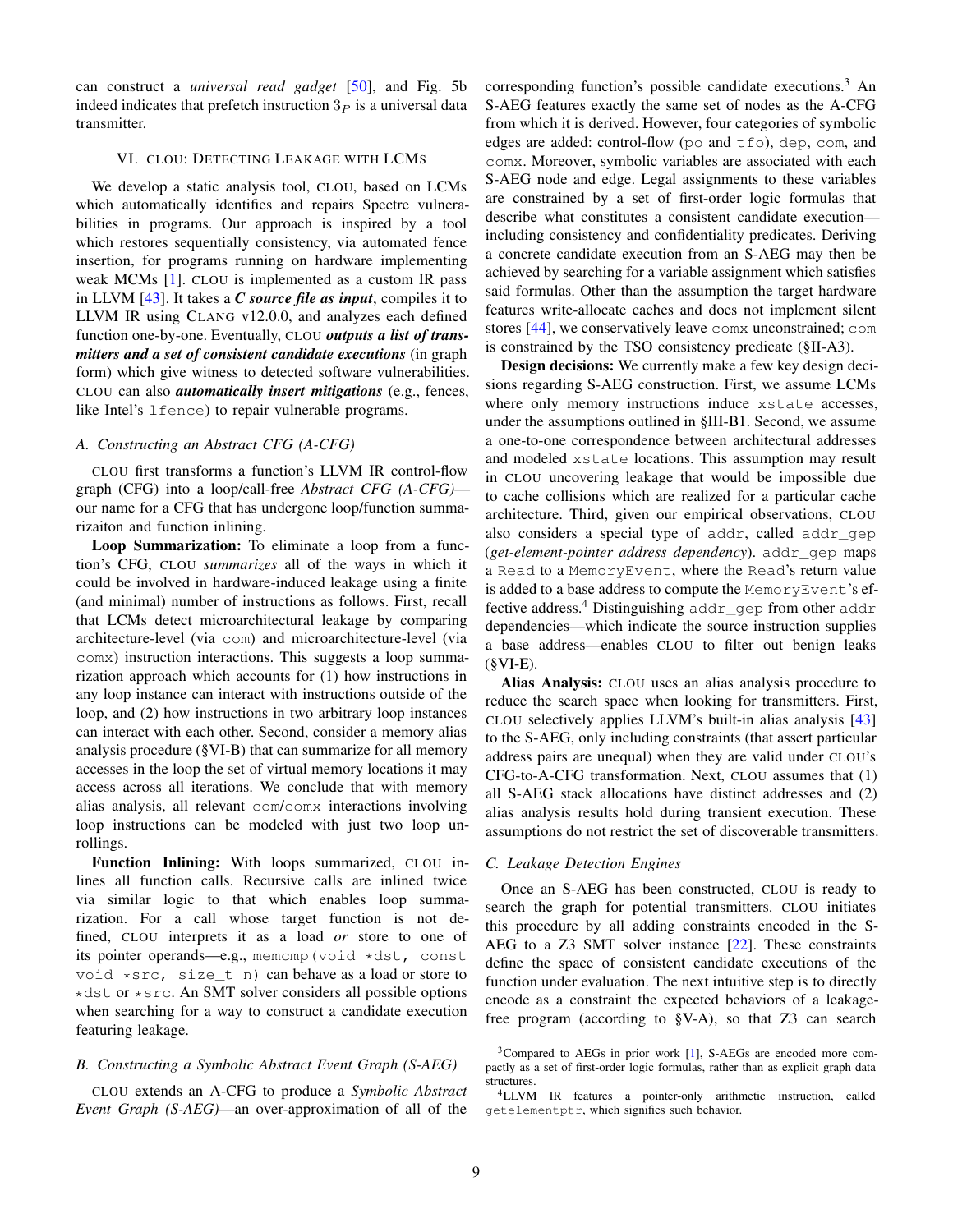can construct a *universal read gadget* [\[50\]](#page-12-15), and Fig. [5b](#page-7-3) indeed indicates that prefetch instruction  $3<sub>P</sub>$  is a universal data transmitter.

#### <span id="page-8-0"></span>VI. CLOU: DETECTING LEAKAGE WITH LCMS

We develop a static analysis tool, CLOU, based on LCMs which automatically identifies and repairs Spectre vulnerabilities in programs. Our approach is inspired by a tool which restores sequentially consistency, via automated fence insertion, for programs running on hardware implementing weak MCMs [\[1\]](#page-11-7). CLOU is implemented as a custom IR pass in LLVM [\[43\]](#page-12-39). It takes a *C source file as input*, compiles it to LLVM IR using CLANG v12.0.0, and analyzes each defined function one-by-one. Eventually, CLOU *outputs a list of transmitters and a set of consistent candidate executions* (in graph form) which give witness to detected software vulnerabilities. CLOU can also *automatically insert mitigations* (e.g., fences, like Intel's lfence) to repair vulnerable programs.

## *A. Constructing an Abstract CFG (A-CFG)*

CLOU first transforms a function's LLVM IR control-flow graph (CFG) into a loop/call-free *Abstract CFG (A-CFG)* our name for a CFG that has undergone loop/function summarizaiton and function inlining.

Loop Summarization: To eliminate a loop from a function's CFG, CLOU *summarizes* all of the ways in which it could be involved in hardware-induced leakage using a finite (and minimal) number of instructions as follows. First, recall that LCMs detect microarchitectural leakage by comparing architecture-level (via com) and microarchitecture-level (via comx) instruction interactions. This suggests a loop summarization approach which accounts for (1) how instructions in any loop instance can interact with instructions outside of the loop, and (2) how instructions in two arbitrary loop instances can interact with each other. Second, consider a memory alias analysis procedure ([§VI-B\)](#page-8-1) that can summarize for all memory accesses in the loop the set of virtual memory locations it may access across all iterations. We conclude that with memory alias analysis, all relevant com/comx interactions involving loop instructions can be modeled with just two loop unrollings.

Function Inlining: With loops summarized, CLOU inlines all function calls. Recursive calls are inlined twice via similar logic to that which enables loop summarization. For a call whose target function is not defined, CLOU interprets it as a load *or* store to one of its pointer operands—e.g., memcmp(void \*dst, const void \*src, size\_t n) can behave as a load or store to \*dst or \*src. An SMT solver considers all possible options when searching for a way to construct a candidate execution featuring leakage.

### <span id="page-8-1"></span>*B. Constructing a Symbolic Abstract Event Graph (S-AEG)*

CLOU extends an A-CFG to produce a *Symbolic Abstract Event Graph (S-AEG)*—an over-approximation of all of the corresponding function's possible candidate executions.[3](#page-8-2) An S-AEG features exactly the same set of nodes as the A-CFG from which it is derived. However, four categories of symbolic edges are added: control-flow (po and tfo), dep, com, and comx. Moreover, symbolic variables are associated with each S-AEG node and edge. Legal assignments to these variables are constrained by a set of first-order logic formulas that describe what constitutes a consistent candidate execution including consistency and confidentiality predicates. Deriving a concrete candidate execution from an S-AEG may then be achieved by searching for a variable assignment which satisfies said formulas. Other than the assumption the target hardware features write-allocate caches and does not implement silent stores [\[44\]](#page-12-38), we conservatively leave comx unconstrained; com is constrained by the TSO consistency predicate ([§II-A3\)](#page-2-1).

Design decisions: We currently make a few key design decisions regarding S-AEG construction. First, we assume LCMs where only memory instructions induce xstate accesses, under the assumptions outlined in [§III-B1.](#page-3-6) Second, we assume a one-to-one correspondence between architectural addresses and modeled xstate locations. This assumption may result in CLOU uncovering leakage that would be impossible due to cache collisions which are realized for a particular cache architecture. Third, given our empirical observations, CLOU also considers a special type of addr, called addr\_gep (*get-element-pointer address dependency*). addr\_gep maps a Read to a MemoryEvent, where the Read's return value is added to a base address to compute the MemoryEvent's ef-fective address.<sup>[4](#page-8-3)</sup> Distinguishing addr\_gep from other addr dependencies—which indicate the source instruction supplies a base address—enables CLOU to filter out benign leaks  $(SVI-E)$ .

Alias Analysis: CLOU uses an alias analysis procedure to reduce the search space when looking for transmitters. First, CLOU selectively applies LLVM's built-in alias analysis [\[43\]](#page-12-39) to the S-AEG, only including constraints (that assert particular address pairs are unequal) when they are valid under CLOU's CFG-to-A-CFG transformation. Next, CLOU assumes that (1) all S-AEG stack allocations have distinct addresses and (2) alias analysis results hold during transient execution. These assumptions do not restrict the set of discoverable transmitters.

#### <span id="page-8-4"></span>*C. Leakage Detection Engines*

Once an S-AEG has been constructed, CLOU is ready to search the graph for potential transmitters. CLOU initiates this procedure by all adding constraints encoded in the S-AEG to a Z3 SMT solver instance [\[22\]](#page-12-40). These constraints define the space of consistent candidate executions of the function under evaluation. The next intuitive step is to directly encode as a constraint the expected behaviors of a leakagefree program (according to [§V-A\)](#page-6-3), so that Z3 can search

<span id="page-8-2"></span><sup>3</sup>Compared to AEGs in prior work [\[1\]](#page-11-7), S-AEGs are encoded more compactly as a set of first-order logic formulas, rather than as explicit graph data structures.

<span id="page-8-3"></span><sup>&</sup>lt;sup>4</sup>LLVM IR features a pointer-only arithmetic instruction, called getelementptr, which signifies such behavior.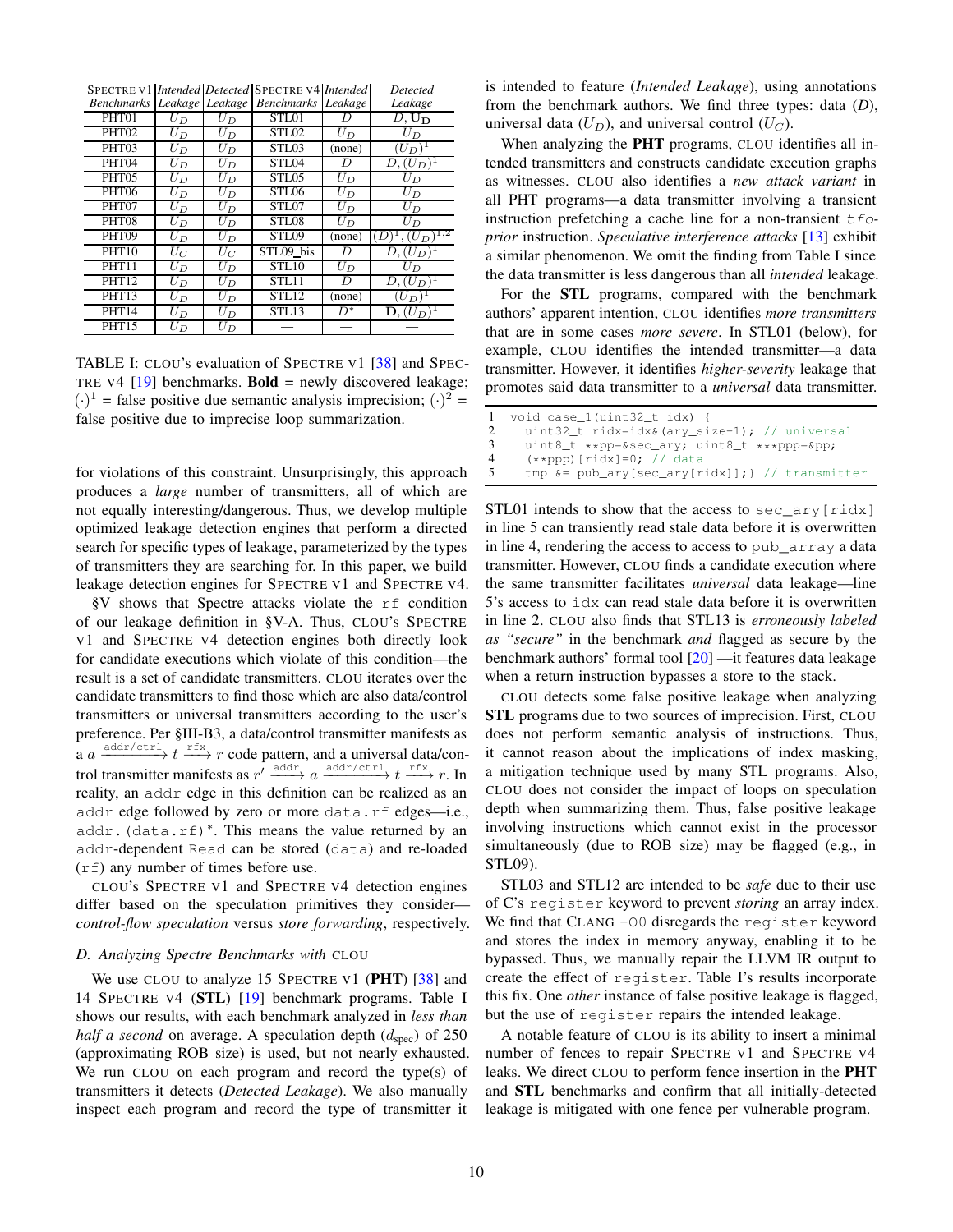| Benchmarks Leakage Leakage |                  |                  | <b>Benchmarks</b> Leakage |        | Leakage                     |
|----------------------------|------------------|------------------|---------------------------|--------|-----------------------------|
| PHT <sub>01</sub>          | $U_D$            | $U_D$            | STL01                     | D      | $D,$ $\mathbf{U_D}$         |
| PHT <sub>02</sub>          | $U_D$            | $\bar{U}_D$      | STL <sub>02</sub>         | $U_D$  | $\bar{U}_D$                 |
| PHT <sub>03</sub>          | $U_D$            | $U_D$            | <b>STL03</b>              | (none) | $(U_D)^{\perp}$             |
| PHT <sub>04</sub>          | $U_D$            | $U_D$            | STL04                     | D      | $D, (U_D)^1$                |
| PHT <sub>05</sub>          | $U_D$            | $U_D$            | STL <sub>05</sub>         | $U_D$  | $U_D$                       |
| PHT <sub>06</sub>          | $U_D$            | $U_D$            | STL06                     | $U_D$  | $\bar{U}_D$                 |
| PHT <sub>07</sub>          | $U_D$            | $U_D$            | STL07                     | $U_D$  | $U_D$                       |
| PHT08                      | $U_D$            | $\bar{U}_D$      | STL08                     | $U_D$  | $U_D$                       |
| PHT <sub>09</sub>          | $U_D$            | $\bar{U}_D$      | <b>STL09</b>              | (none) | $\setminus$ 1,2<br>$U_D$    |
| <b>PHT10</b>               | $\overline{U}_C$ | $\overline{U}_C$ | STL09 bis                 | D      | $D, (U_D)^1$                |
| <b>PHT11</b>               | $U_D$            | $U_D$            | <b>STL10</b>              | $U_D$  | $U_D$                       |
| <b>PHT12</b>               | $U_D$            | $\bar{U}_D$      | STL11                     | D      | $D,(U_D)^T$                 |
| <b>PHT13</b>               | $U_D$            | $U_D$            | <b>STL12</b>              | (none) | $(U_D)$                     |
| PHT14                      | $U_D$            | $U_D$            | <b>STL13</b>              | $D^*$  | $\mathbf{D}, (U_D)^{\perp}$ |
| <b>PHT15</b>               | $U_D$            | $U_D$            |                           |        |                             |

<span id="page-9-0"></span>SPECTRE V1 *Intended Detected* SPECTRE V4 *Intended Detected*

TABLE I: CLOU's evaluation of SPECTRE V1 [\[38\]](#page-12-24) and SPEC-TRE V4  $[19]$  benchmarks. **Bold** = newly discovered leakage;  $(\cdot)^1$  = false positive due semantic analysis imprecision;  $(\cdot)^2$  = false positive due to imprecise loop summarization.

for violations of this constraint. Unsurprisingly, this approach produces a *large* number of transmitters, all of which are not equally interesting/dangerous. Thus, we develop multiple optimized leakage detection engines that perform a directed search for specific types of leakage, parameterized by the types of transmitters they are searching for. In this paper, we build leakage detection engines for SPECTRE V1 and SPECTRE V4.

[§V](#page-6-1) shows that Spectre attacks violate the rf condition of our leakage definition in [§V-A.](#page-6-3) Thus, CLOU's SPECTRE V1 and SPECTRE V4 detection engines both directly look for candidate executions which violate of this condition—the result is a set of candidate transmitters. CLOU iterates over the candidate transmitters to find those which are also data/control transmitters or universal transmitters according to the user's preference. Per [§III-B3,](#page-4-1) a data/control transmitter manifests as a  $a \xrightarrow{\text{addr/ctr1}} t \xrightarrow{rfx} r$  code pattern, and a universal data/control transmitter manifests as  $r' \xrightarrow{\text{addr/ctr1}} a \xrightarrow{\text{addr/ctr1}} t \xrightarrow{rfx} r$ . In reality, an addr edge in this definition can be realized as an addr edge followed by zero or more data.rf edges-i.e., addr.(data.rf)<sup>∗</sup> . This means the value returned by an addr-dependent Read can be stored (data) and re-loaded (rf) any number of times before use.

CLOU's SPECTRE V1 and SPECTRE V4 detection engines differ based on the speculation primitives they consider *control-flow speculation* versus *store forwarding*, respectively.

#### *D. Analyzing Spectre Benchmarks with* CLOU

We use CLOU to analyze 15 SPECTRE V1 ( $PHT$ ) [\[38\]](#page-12-24) and 14 SPECTRE V4 (STL) [\[19\]](#page-11-9) benchmark programs. Table [I](#page-9-0) shows our results, with each benchmark analyzed in *less than half a second* on average. A speculation depth  $(d_{spec})$  of 250 (approximating ROB size) is used, but not nearly exhausted. We run CLOU on each program and record the type(s) of transmitters it detects (*Detected Leakage*). We also manually inspect each program and record the type of transmitter it

is intended to feature (*Intended Leakage*), using annotations from the benchmark authors. We find three types: data (*D*), universal data  $(U_D)$ , and universal control  $(U_C)$ .

When analyzing the PHT programs, CLOU identifies all intended transmitters and constructs candidate execution graphs as witnesses. CLOU also identifies a *new attack variant* in all PHT programs—a data transmitter involving a transient instruction prefetching a cache line for a non-transient  $t$  fo*prior* instruction. *Speculative interference attacks* [\[13\]](#page-11-14) exhibit a similar phenomenon. We omit the finding from Table [I](#page-9-0) since the data transmitter is less dangerous than all *intended* leakage.

For the STL programs, compared with the benchmark authors' apparent intention, CLOU identifies *more transmitters* that are in some cases *more severe*. In STL01 (below), for example, CLOU identifies the intended transmitter—a data transmitter. However, it identifies *higher-severity* leakage that promotes said data transmitter to a *universal* data transmitter.

```
1 void case_1(uint32_t idx) {
2 uint32_t ridx=idx&(ary_size-1); // universal<br>3 uint8 t **pp=&sec ary: uint8 t ***ppp=&pp:
3 uint8_t **pp=&sec_ary; uint8_t ***ppp=&pp;<br>4 (**ppp)[ridy]=0; //data
4 (**ppp) [ridx]=0; // data<br>5 tmp \&= pub arv [sec arv[r]tmp \&= pub_{ary[sec_{ary[ridx]}]; // transmitter
```
STL01 intends to show that the access to sec\_ary [ridx] in line 5 can transiently read stale data before it is overwritten in line 4, rendering the access to access to pub\_array a data transmitter. However, CLOU finds a candidate execution where the same transmitter facilitates *universal* data leakage—line 5's access to idx can read stale data before it is overwritten in line 2. CLOU also finds that STL13 is *erroneously labeled as "secure"* in the benchmark *and* flagged as secure by the benchmark authors' formal tool [\[20\]](#page-12-41) —it features data leakage when a return instruction bypasses a store to the stack.

CLOU detects some false positive leakage when analyzing STL programs due to two sources of imprecision. First, CLOU does not perform semantic analysis of instructions. Thus, it cannot reason about the implications of index masking, a mitigation technique used by many STL programs. Also, CLOU does not consider the impact of loops on speculation depth when summarizing them. Thus, false positive leakage involving instructions which cannot exist in the processor simultaneously (due to ROB size) may be flagged (e.g., in STL09).

STL03 and STL12 are intended to be *safe* due to their use of C's register keyword to prevent *storing* an array index. We find that CLANG -00 disregards the register keyword and stores the index in memory anyway, enabling it to be bypassed. Thus, we manually repair the LLVM IR output to create the effect of register. Table [I'](#page-9-0)s results incorporate this fix. One *other* instance of false positive leakage is flagged, but the use of register repairs the intended leakage.

A notable feature of CLOU is its ability to insert a minimal number of fences to repair SPECTRE V1 and SPECTRE V4 leaks. We direct CLOU to perform fence insertion in the PHT and STL benchmarks and confirm that all initially-detected leakage is mitigated with one fence per vulnerable program.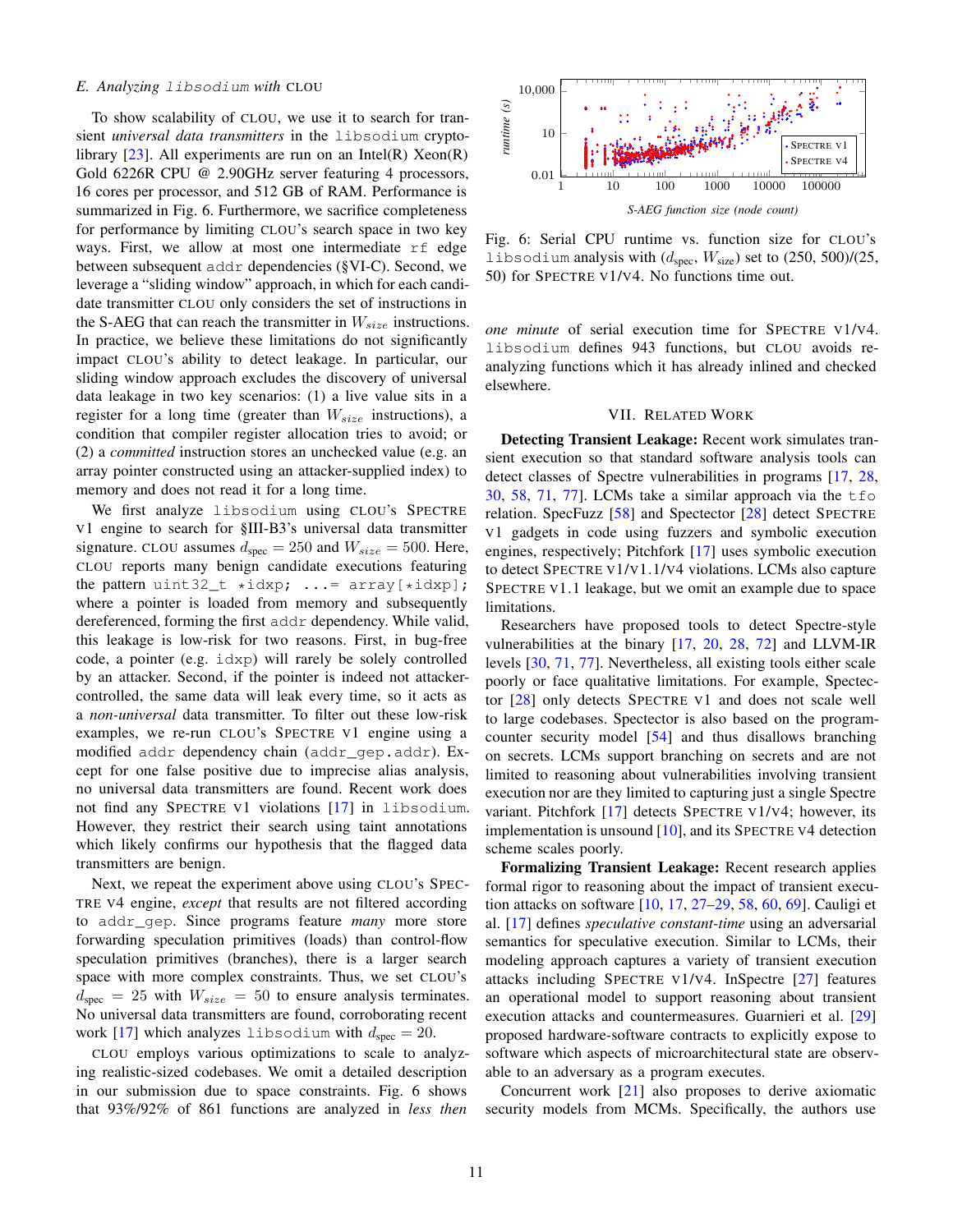## <span id="page-10-0"></span>*E. Analyzing* libsodium *with* CLOU

To show scalability of CLOU, we use it to search for transient *universal data transmitters* in the libsodium cryptolibrary  $[23]$ . All experiments are run on an Intel(R) Xeon(R) Gold 6226R CPU @ 2.90GHz server featuring 4 processors, 16 cores per processor, and 512 GB of RAM. Performance is summarized in Fig. [6.](#page-10-1) Furthermore, we sacrifice completeness for performance by limiting CLOU's search space in two key ways. First, we allow at most one intermediate rf edge between subsequent addr dependencies ([§VI-C\)](#page-8-4). Second, we leverage a "sliding window" approach, in which for each candidate transmitter CLOU only considers the set of instructions in the S-AEG that can reach the transmitter in  $W_{size}$  instructions. In practice, we believe these limitations do not significantly impact CLOU's ability to detect leakage. In particular, our sliding window approach excludes the discovery of universal data leakage in two key scenarios: (1) a live value sits in a register for a long time (greater than  $W_{size}$  instructions), a condition that compiler register allocation tries to avoid; or (2) a *committed* instruction stores an unchecked value (e.g. an array pointer constructed using an attacker-supplied index) to memory and does not read it for a long time.

We first analyze libsodium using CLOU's SPECTRE V1 engine to search for [§III-B3'](#page-4-1)s universal data transmitter signature. CLOU assumes  $d_{\text{spec}} = 250$  and  $W_{size} = 500$ . Here, CLOU reports many benign candidate executions featuring the pattern uint  $32_t * i \, dx$ ; ...=  $array[*idxp];$ where a pointer is loaded from memory and subsequently dereferenced, forming the first addr dependency. While valid, this leakage is low-risk for two reasons. First, in bug-free code, a pointer (e.g. idxp) will rarely be solely controlled by an attacker. Second, if the pointer is indeed not attackercontrolled, the same data will leak every time, so it acts as a *non-universal* data transmitter. To filter out these low-risk examples, we re-run CLOU's SPECTRE V1 engine using a modified addr dependency chain (addr\_gep.addr). Except for one false positive due to imprecise alias analysis, no universal data transmitters are found. Recent work does not find any SPECTRE V1 violations [\[17\]](#page-11-2) in libsodium. However, they restrict their search using taint annotations which likely confirms our hypothesis that the flagged data transmitters are benign.

Next, we repeat the experiment above using CLOU's SPEC-TRE V4 engine, *except* that results are not filtered according to addr\_gep. Since programs feature *many* more store forwarding speculation primitives (loads) than control-flow speculation primitives (branches), there is a larger search space with more complex constraints. Thus, we set CLOU's  $d_{\rm spec} = 25$  with  $W_{\rm size} = 50$  to ensure analysis terminates. No universal data transmitters are found, corroborating recent work [\[17\]](#page-11-2) which analyzes libsodium with  $d_{\text{spec}} = 20$ .

CLOU employs various optimizations to scale to analyzing realistic-sized codebases. We omit a detailed description in our submission due to space constraints. Fig. [6](#page-10-1) shows that 93%/92% of 861 functions are analyzed in *less then*

<span id="page-10-1"></span>

Fig. 6: Serial CPU runtime vs. function size for CLOU's libsodium analysis with  $(d_{\text{spec}}, W_{\text{size}})$  set to  $(250, 500)/(25,$ 50) for SPECTRE V1/V4. No functions time out.

*one minute* of serial execution time for SPECTRE V1/V4. libsodium defines 943 functions, but CLOU avoids reanalyzing functions which it has already inlined and checked elsewhere.

## VII. RELATED WORK

Detecting Transient Leakage: Recent work simulates transient execution so that standard software analysis tools can detect classes of Spectre vulnerabilities in programs [\[17,](#page-11-2) [28,](#page-12-16) [30,](#page-12-42) [58,](#page-12-35) [71,](#page-13-15) [77\]](#page-13-16). LCMs take a similar approach via the  $\pm$  form relation. SpecFuzz [\[58\]](#page-12-35) and Spectector [\[28\]](#page-12-16) detect SPECTRE V1 gadgets in code using fuzzers and symbolic execution engines, respectively; Pitchfork [\[17\]](#page-11-2) uses symbolic execution to detect SPECTRE V1/V1.1/V4 violations. LCMs also capture SPECTRE V1.1 leakage, but we omit an example due to space limitations.

Researchers have proposed tools to detect Spectre-style vulnerabilities at the binary [\[17,](#page-11-2) [20,](#page-12-41) [28,](#page-12-16) [72\]](#page-13-17) and LLVM-IR levels [\[30,](#page-12-42) [71,](#page-13-15) [77\]](#page-13-16). Nevertheless, all existing tools either scale poorly or face qualitative limitations. For example, Spectector [\[28\]](#page-12-16) only detects SPECTRE V1 and does not scale well to large codebases. Spectector is also based on the programcounter security model [\[54\]](#page-12-43) and thus disallows branching on secrets. LCMs support branching on secrets and are not limited to reasoning about vulnerabilities involving transient execution nor are they limited to capturing just a single Spectre variant. Pitchfork [\[17\]](#page-11-2) detects SPECTRE V1/V4; however, its implementation is unsound [\[10\]](#page-11-15), and its SPECTRE V4 detection scheme scales poorly.

Formalizing Transient Leakage: Recent research applies formal rigor to reasoning about the impact of transient execution attacks on software [\[10,](#page-11-15) [17,](#page-11-2) [27](#page-12-1)[–29,](#page-12-14) [58,](#page-12-35) [60,](#page-12-44) [69\]](#page-13-5). Cauligi et al. [\[17\]](#page-11-2) defines *speculative constant-time* using an adversarial semantics for speculative execution. Similar to LCMs, their modeling approach captures a variety of transient execution attacks including SPECTRE V1/V4. InSpectre [\[27\]](#page-12-1) features an operational model to support reasoning about transient execution attacks and countermeasures. Guarnieri et al. [\[29\]](#page-12-14) proposed hardware-software contracts to explicitly expose to software which aspects of microarchitectural state are observable to an adversary as a program executes.

Concurrent work [\[21\]](#page-12-12) also proposes to derive axiomatic security models from MCMs. Specifically, the authors use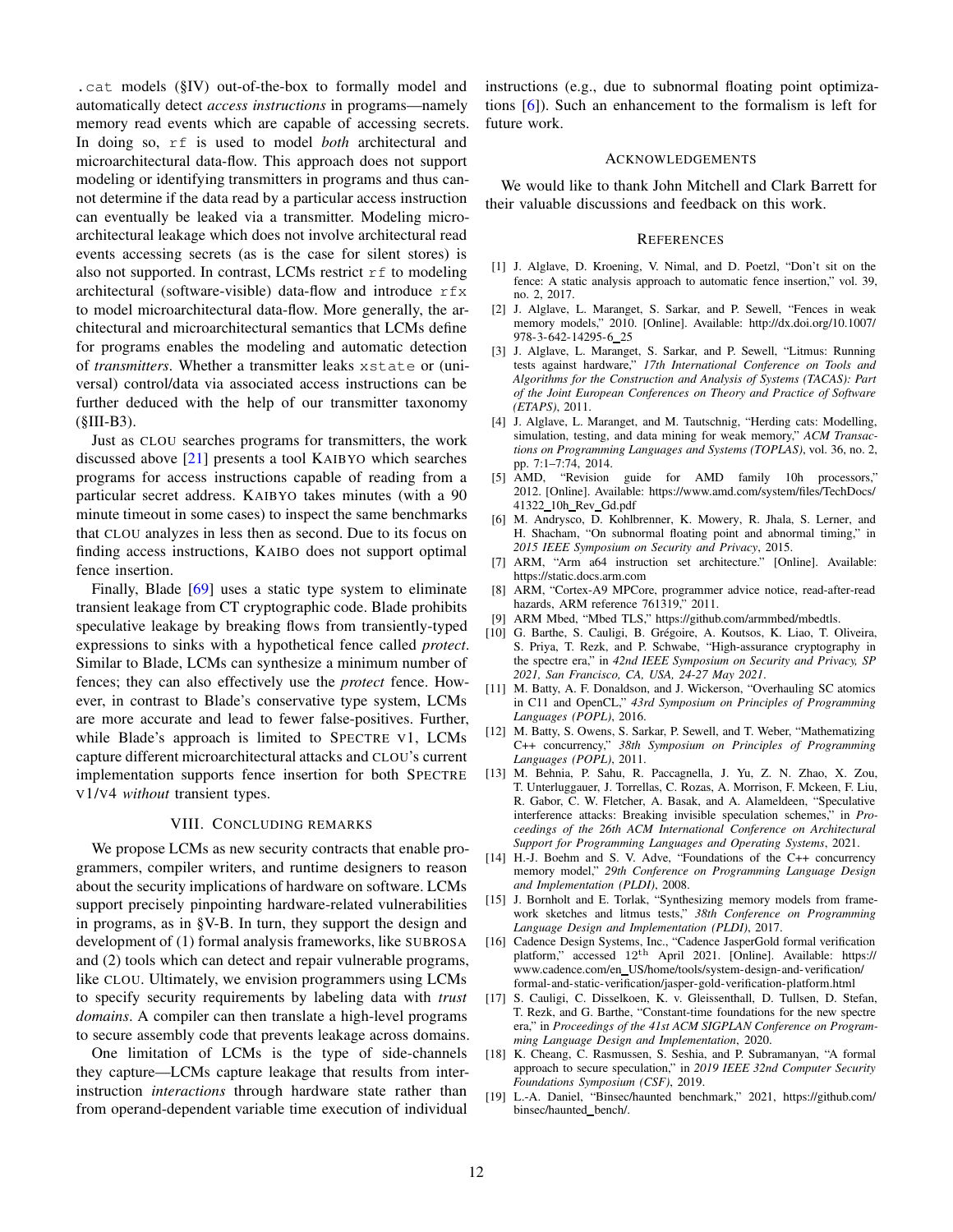.cat models ([§IV\)](#page-5-3) out-of-the-box to formally model and automatically detect *access instructions* in programs—namely memory read events which are capable of accessing secrets. In doing so, rf is used to model *both* architectural and microarchitectural data-flow. This approach does not support modeling or identifying transmitters in programs and thus cannot determine if the data read by a particular access instruction can eventually be leaked via a transmitter. Modeling microarchitectural leakage which does not involve architectural read events accessing secrets (as is the case for silent stores) is also not supported. In contrast, LCMs restrict  $r f$  to modeling architectural (software-visible) data-flow and introduce  $rfx$ to model microarchitectural data-flow. More generally, the architectural and microarchitectural semantics that LCMs define for programs enables the modeling and automatic detection of *transmitters*. Whether a transmitter leaks xstate or (universal) control/data via associated access instructions can be further deduced with the help of our transmitter taxonomy  $(SIII-B3)$ .

Just as CLOU searches programs for transmitters, the work discussed above [\[21\]](#page-12-12) presents a tool KAIBYO which searches programs for access instructions capable of reading from a particular secret address. KAIBYO takes minutes (with a 90 minute timeout in some cases) to inspect the same benchmarks that CLOU analyzes in less then as second. Due to its focus on finding access instructions, KAIBO does not support optimal fence insertion.

Finally, Blade [\[69\]](#page-13-5) uses a static type system to eliminate transient leakage from CT cryptographic code. Blade prohibits speculative leakage by breaking flows from transiently-typed expressions to sinks with a hypothetical fence called *protect*. Similar to Blade, LCMs can synthesize a minimum number of fences; they can also effectively use the *protect* fence. However, in contrast to Blade's conservative type system, LCMs are more accurate and lead to fewer false-positives. Further, while Blade's approach is limited to SPECTRE V1, LCMs capture different microarchitectural attacks and CLOU's current implementation supports fence insertion for both SPECTRE V1/V4 *without* transient types.

#### VIII. CONCLUDING REMARKS

We propose LCMs as new security contracts that enable programmers, compiler writers, and runtime designers to reason about the security implications of hardware on software. LCMs support precisely pinpointing hardware-related vulnerabilities in programs, as in [§V-B.](#page-6-0) In turn, they support the design and development of (1) formal analysis frameworks, like SUBROSA and (2) tools which can detect and repair vulnerable programs, like CLOU. Ultimately, we envision programmers using LCMs to specify security requirements by labeling data with *trust domains*. A compiler can then translate a high-level programs to secure assembly code that prevents leakage across domains.

One limitation of LCMs is the type of side-channels they capture—LCMs capture leakage that results from interinstruction *interactions* through hardware state rather than from operand-dependent variable time execution of individual

instructions (e.g., due to subnormal floating point optimizations [\[6\]](#page-11-16)). Such an enhancement to the formalism is left for future work.

#### ACKNOWLEDGEMENTS

We would like to thank John Mitchell and Clark Barrett for their valuable discussions and feedback on this work.

### **REFERENCES**

- <span id="page-11-7"></span>[1] J. Alglave, D. Kroening, V. Nimal, and D. Poetzl, "Don't sit on the fence: A static analysis approach to automatic fence insertion," vol. 39, no. 2, 2017.
- [2] J. Alglave, L. Maranget, S. Sarkar, and P. Sewell, "Fences in weak memory models," 2010. [Online]. Available: [http://dx.doi.org/10.1007/](http://dx.doi.org/10.1007/978-3-642-14295-6_25) [978-3-642-14295-6](http://dx.doi.org/10.1007/978-3-642-14295-6_25) 25
- [3] J. Alglave, L. Maranget, S. Sarkar, and P. Sewell, "Litmus: Running tests against hardware," *17th International Conference on Tools and Algorithms for the Construction and Analysis of Systems (TACAS): Part of the Joint European Conferences on Theory and Practice of Software (ETAPS)*, 2011.
- <span id="page-11-6"></span>[4] J. Alglave, L. Maranget, and M. Tautschnig, "Herding cats: Modelling, simulation, testing, and data mining for weak memory," *ACM Transactions on Programming Languages and Systems (TOPLAS)*, vol. 36, no. 2, pp. 7:1–7:74, 2014.
- <span id="page-11-0"></span>[5] AMD, "Revision guide for AMD family 10h processors," 2012. [Online]. Available: [https://www.amd.com/system/files/TechDocs/](https://www.amd.com/system/files/TechDocs/41322_10h_Rev_Gd.pdf) 41322 10h Rev [Gd.pdf](https://www.amd.com/system/files/TechDocs/41322_10h_Rev_Gd.pdf)
- <span id="page-11-16"></span>[6] M. Andrysco, D. Kohlbrenner, K. Mowery, R. Jhala, S. Lerner, and H. Shacham, "On subnormal floating point and abnormal timing," in *2015 IEEE Symposium on Security and Privacy*, 2015.
- <span id="page-11-4"></span>[7] ARM, "Arm a64 instruction set architecture." [Online]. Available: <https://static.docs.arm.com>
- <span id="page-11-1"></span>[8] ARM, "Cortex-A9 MPCore, programmer advice notice, read-after-read hazards, ARM reference 761319," 2011.
- <span id="page-11-15"></span><span id="page-11-3"></span>[9] ARM Mbed, "Mbed TLS," [https://github.com/armmbed/mbedtls.](https://github.com/armmbed/mbedtls)
- [10] G. Barthe, S. Cauligi, B. Grégoire, A. Koutsos, K. Liao, T. Oliveira, S. Priya, T. Rezk, and P. Schwabe, "High-assurance cryptography in the spectre era," in *42nd IEEE Symposium on Security and Privacy, SP 2021, San Francisco, CA, USA, 24-27 May 2021*.
- <span id="page-11-10"></span>[11] M. Batty, A. F. Donaldson, and J. Wickerson, "Overhauling SC atomics in C11 and OpenCL," *43rd Symposium on Principles of Programming Languages (POPL)*, 2016.
- <span id="page-11-11"></span>[12] M. Batty, S. Owens, S. Sarkar, P. Sewell, and T. Weber, "Mathematizing C++ concurrency," *38th Symposium on Principles of Programming Languages (POPL)*, 2011.
- <span id="page-11-14"></span>[13] M. Behnia, P. Sahu, R. Paccagnella, J. Yu, Z. N. Zhao, X. Zou, T. Unterluggauer, J. Torrellas, C. Rozas, A. Morrison, F. Mckeen, F. Liu, R. Gabor, C. W. Fletcher, A. Basak, and A. Alameldeen, "Speculative interference attacks: Breaking invisible speculation schemes," in *Proceedings of the 26th ACM International Conference on Architectural Support for Programming Languages and Operating Systems*, 2021.
- <span id="page-11-12"></span>[14] H.-J. Boehm and S. V. Adve, "Foundations of the C++ concurrency memory model," *29th Conference on Programming Language Design and Implementation (PLDI)*, 2008.
- <span id="page-11-8"></span>[15] J. Bornholt and E. Torlak, "Synthesizing memory models from framework sketches and litmus tests," *38th Conference on Programming Language Design and Implementation (PLDI)*, 2017.
- <span id="page-11-13"></span>[16] Cadence Design Systems, Inc., "Cadence JasperGold formal verification platform," accessed 12th April 2021. [Online]. Available: [https://](https://www.cadence.com/en_US/home/tools/system-design-and-verification/formal-and-static-verification/jasper-gold-verification-platform.html) www.cadence.com/en [US/home/tools/system-design-and-verification/](https://www.cadence.com/en_US/home/tools/system-design-and-verification/formal-and-static-verification/jasper-gold-verification-platform.html) [formal-and-static-verification/jasper-gold-verification-platform.html](https://www.cadence.com/en_US/home/tools/system-design-and-verification/formal-and-static-verification/jasper-gold-verification-platform.html)
- <span id="page-11-2"></span>[17] S. Cauligi, C. Disselkoen, K. v. Gleissenthall, D. Tullsen, D. Stefan, T. Rezk, and G. Barthe, "Constant-time foundations for the new spectre era," in *Proceedings of the 41st ACM SIGPLAN Conference on Programming Language Design and Implementation*, 2020.
- <span id="page-11-5"></span>[18] K. Cheang, C. Rasmussen, S. Seshia, and P. Subramanyan, "A formal approach to secure speculation," in *2019 IEEE 32nd Computer Security Foundations Symposium (CSF)*, 2019.
- <span id="page-11-9"></span>[19] L.-A. Daniel, "Binsec/haunted benchmark," 2021, [https://github.com/](https://github.com/binsec/haunted_bench/) [binsec/haunted](https://github.com/binsec/haunted_bench/)\_bench/.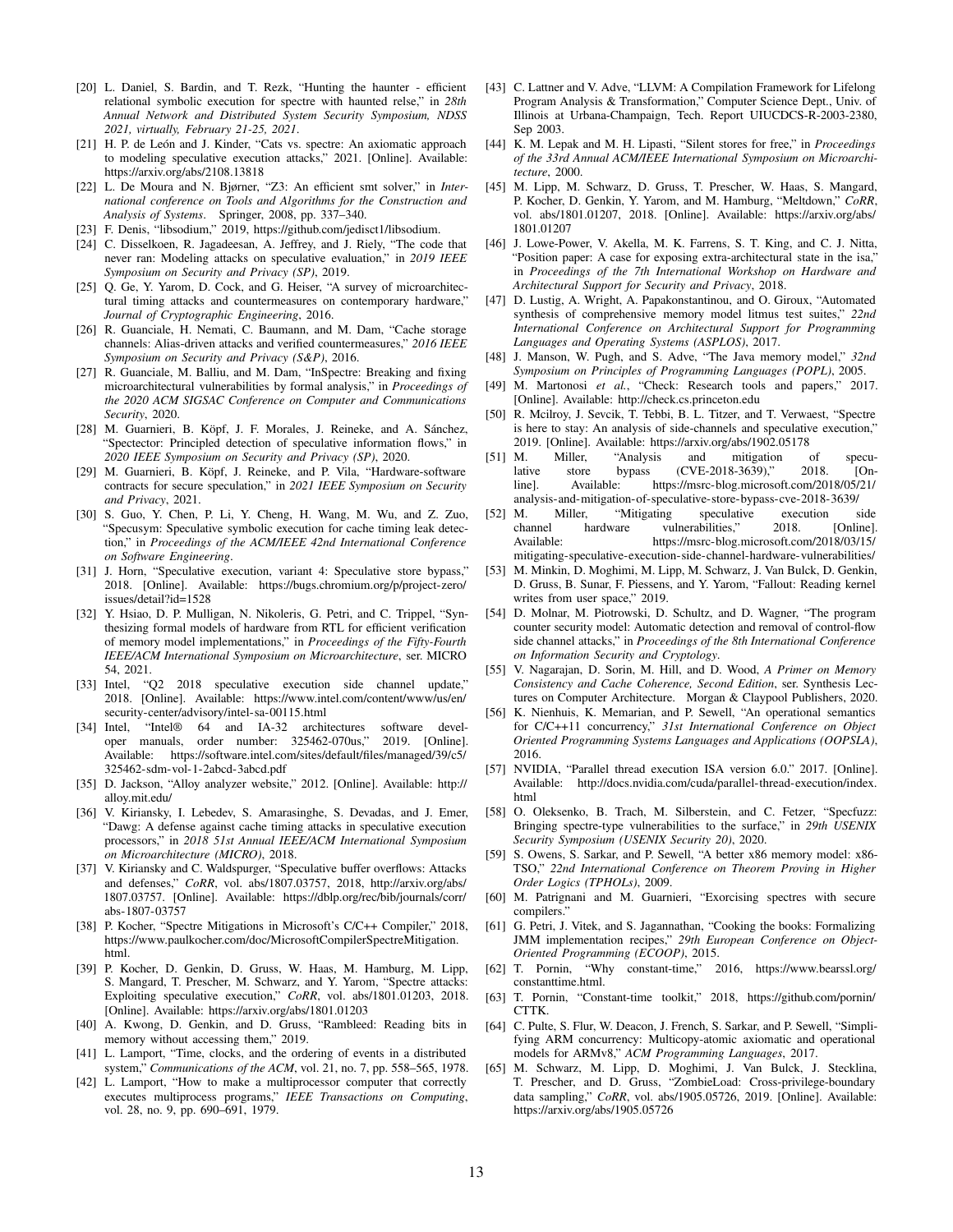- <span id="page-12-41"></span>[20] L. Daniel, S. Bardin, and T. Rezk, "Hunting the haunter - efficient relational symbolic execution for spectre with haunted relse," in *28th Annual Network and Distributed System Security Symposium, NDSS 2021, virtually, February 21-25, 2021*.
- <span id="page-12-12"></span>[21] H. P. de León and J. Kinder, "Cats vs. spectre: An axiomatic approach to modeling speculative execution attacks," 2021. [Online]. Available: <https://arxiv.org/abs/2108.13818>
- <span id="page-12-40"></span>[22] L. De Moura and N. Bjørner, "Z3: An efficient smt solver," in *International conference on Tools and Algorithms for the Construction and Analysis of Systems*. Springer, 2008, pp. 337–340.
- <span id="page-12-13"></span><span id="page-12-5"></span>[23] F. Denis, "libsodium," 2019, [https://github.com/jedisct1/libsodium.](https://github.com/jedisct1/libsodium)
- [24] C. Disselkoen, R. Jagadeesan, A. Jeffrey, and J. Riely, "The code that never ran: Modeling attacks on speculative evaluation," in *2019 IEEE Symposium on Security and Privacy (SP)*, 2019.
- <span id="page-12-3"></span>[25] Q. Ge, Y. Yarom, D. Cock, and G. Heiser, "A survey of microarchitectural timing attacks and countermeasures on contemporary hardware, *Journal of Cryptographic Engineering*, 2016.
- <span id="page-12-0"></span>[26] R. Guanciale, H. Nemati, C. Baumann, and M. Dam, "Cache storage channels: Alias-driven attacks and verified countermeasures," *2016 IEEE Symposium on Security and Privacy (S&P)*, 2016.
- <span id="page-12-1"></span>[27] R. Guanciale, M. Balliu, and M. Dam, "InSpectre: Breaking and fixing microarchitectural vulnerabilities by formal analysis," in *Proceedings of the 2020 ACM SIGSAC Conference on Computer and Communications Security*, 2020.
- <span id="page-12-16"></span>[28] M. Guarnieri, B. Köpf, J. F. Morales, J. Reineke, and A. Sánchez, "Spectector: Principled detection of speculative information flows," in *2020 IEEE Symposium on Security and Privacy (SP)*, 2020.
- <span id="page-12-14"></span>[29] M. Guarnieri, B. Köpf, J. Reineke, and P. Vila, "Hardware-software contracts for secure speculation," in *2021 IEEE Symposium on Security and Privacy*, 2021.
- <span id="page-12-42"></span>[30] S. Guo, Y. Chen, P. Li, Y. Cheng, H. Wang, M. Wu, and Z. Zuo, "Specusym: Speculative symbolic execution for cache timing leak detection," in *Proceedings of the ACM/IEEE 42nd International Conference on Software Engineering*.
- <span id="page-12-21"></span>[31] J. Horn, "Speculative execution, variant 4: Speculative store bypass," 2018. [Online]. Available: [https://bugs.chromium.org/p/project-zero/](https://bugs.chromium.org/p/project-zero/issues/detail?id=1528) [issues/detail?id=1528](https://bugs.chromium.org/p/project-zero/issues/detail?id=1528)
- <span id="page-12-17"></span>[32] Y. Hsiao, D. P. Mulligan, N. Nikoleris, G. Petri, and C. Trippel, "Synthesizing formal models of hardware from RTL for efficient verification of memory model implementations," in *Proceedings of the Fifty-Fourth IEEE/ACM International Symposium on Microarchitecture*, ser. MICRO 54, 2021.
- <span id="page-12-23"></span>[33] Intel, "Q2 2018 speculative execution side channel update," 2018. [Online]. Available: [https://www.intel.com/content/www/us/en/](https://www.intel.com/content/www/us/en/security-center/advisory/intel-sa-00115.html) [security-center/advisory/intel-sa-00115.html](https://www.intel.com/content/www/us/en/security-center/advisory/intel-sa-00115.html)
- <span id="page-12-32"></span>[34] Intel, "Intel® 64 and IA-32 architectures software developer manuals, order number: 325462-070us," 2019. [Online]. Available: [https://software.intel.com/sites/default/files/managed/39/c5/](https://software.intel.com/sites/default/files/managed/39/c5/325462-sdm-vol-1-2abcd-3abcd.pdf) [325462-sdm-vol-1-2abcd-3abcd.pdf](https://software.intel.com/sites/default/files/managed/39/c5/325462-sdm-vol-1-2abcd-3abcd.pdf)
- <span id="page-12-25"></span>[35] D. Jackson, "Alloy analyzer website," 2012. [Online]. Available: [http://](http://alloy.mit.edu/) [alloy.mit.edu/](http://alloy.mit.edu/)
- <span id="page-12-4"></span>[36] V. Kiriansky, I. Lebedev, S. Amarasinghe, S. Devadas, and J. Emer, "Dawg: A defense against cache timing attacks in speculative execution processors," in *2018 51st Annual IEEE/ACM International Symposium on Microarchitecture (MICRO)*, 2018.
- <span id="page-12-22"></span>[37] V. Kiriansky and C. Waldspurger, "Speculative buffer overflows: Attacks and defenses," *CoRR*, vol. abs/1807.03757, 2018, [http://arxiv.org/abs/](http://arxiv.org/abs/1807.03757) [1807.03757.](http://arxiv.org/abs/1807.03757) [Online]. Available: [https://dblp.org/rec/bib/journals/corr/](https://dblp.org/rec/bib/journals/corr/abs-1807-03757) [abs-1807-03757](https://dblp.org/rec/bib/journals/corr/abs-1807-03757)
- <span id="page-12-24"></span>[38] P. Kocher, "Spectre Mitigations in Microsoft's C/C++ Compiler," 2018, [https://www.paulkocher.com/doc/MicrosoftCompilerSpectreMitigation.](https://www.paulkocher.com/doc/MicrosoftCompilerSpectreMitigation.html) [html.](https://www.paulkocher.com/doc/MicrosoftCompilerSpectreMitigation.html)
- <span id="page-12-8"></span>[39] P. Kocher, D. Genkin, D. Gruss, W. Haas, M. Hamburg, M. Lipp, S. Mangard, T. Prescher, M. Schwarz, and Y. Yarom, "Spectre attacks: Exploiting speculative execution," *CoRR*, vol. abs/1801.01203, 2018. [Online]. Available:<https://arxiv.org/abs/1801.01203>
- <span id="page-12-2"></span>[40] A. Kwong, D. Genkin, and D. Gruss, "Rambleed: Reading bits in memory without accessing them," 2019.
- <span id="page-12-33"></span>[41] L. Lamport, "Time, clocks, and the ordering of events in a distributed system," *Communications of the ACM*, vol. 21, no. 7, pp. 558–565, 1978.
- <span id="page-12-18"></span>[42] L. Lamport, "How to make a multiprocessor computer that correctly executes multiprocess programs," *IEEE Transactions on Computing*, vol. 28, no. 9, pp. 690–691, 1979.
- <span id="page-12-39"></span>[43] C. Lattner and V. Adve, "LLVM: A Compilation Framework for Lifelong Program Analysis & Transformation," Computer Science Dept., Univ. of Illinois at Urbana-Champaign, Tech. Report UIUCDCS-R-2003-2380, Sep 2003.
- <span id="page-12-38"></span>[44] K. M. Lepak and M. H. Lipasti, "Silent stores for free," in *Proceedings of the 33rd Annual ACM/IEEE International Symposium on Microarchitecture*, 2000.
- <span id="page-12-9"></span>[45] M. Lipp, M. Schwarz, D. Gruss, T. Prescher, W. Haas, S. Mangard, P. Kocher, D. Genkin, Y. Yarom, and M. Hamburg, "Meltdown," *CoRR*, vol. abs/1801.01207, 2018. [Online]. Available: [https://arxiv.org/abs/](https://arxiv.org/abs/1801.01207) [1801.01207](https://arxiv.org/abs/1801.01207)
- <span id="page-12-34"></span>[46] J. Lowe-Power, V. Akella, M. K. Farrens, S. T. King, and C. J. Nitta, "Position paper: A case for exposing extra-architectural state in the isa," in *Proceedings of the 7th International Workshop on Hardware and Architectural Support for Security and Privacy*, 2018.
- <span id="page-12-19"></span>[47] D. Lustig, A. Wright, A. Papakonstantinou, and O. Giroux, "Automated synthesis of comprehensive memory model litmus test suites," *22nd International Conference on Architectural Support for Programming Languages and Operating Systems (ASPLOS)*, 2017.
- <span id="page-12-26"></span>[48] J. Manson, W. Pugh, and S. Adve, "The Java memory model," *32nd Symposium on Principles of Programming Languages (POPL)*, 2005.
- <span id="page-12-20"></span>[49] M. Martonosi et al., "Check: Research tools and papers," 2017. [Online]. Available:<http://check.cs.princeton.edu>
- <span id="page-12-15"></span>[50] R. Mcilroy, J. Sevcik, T. Tebbi, B. L. Titzer, and T. Verwaest, "Spectre is here to stay: An analysis of side-channels and speculative execution, 2019. [Online]. Available:<https://arxiv.org/abs/1902.05178>
- <span id="page-12-36"></span>[51] M. Miller, "Analysis and mitigation of speculative store bypass (CVE-2018-3639)," 2018. [On-<br>line]. Available: https://msrc-blog.microsoft.com/2018/05/21/ https://msrc-blog.microsoft.com/2018/05/21/ [analysis-and-mitigation-of-speculative-store-bypass-cve-2018-3639/](https://msrc-blog.microsoft.com/2018/05/21/analysis-and-mitigation-of-speculative-store-bypass-cve-2018-3639/)
- <span id="page-12-37"></span>[52] M. Miller, "Mitigating speculative execution side channel hardware vulnerabilities," 2018. Available: [https://msrc-blog.microsoft.com/2018/03/15/](https://msrc-blog.microsoft.com/2018/03/15/mitigating-speculative-execution-side-channel-hardware-vulnerabilities/) [mitigating-speculative-execution-side-channel-hardware-vulnerabilities/](https://msrc-blog.microsoft.com/2018/03/15/mitigating-speculative-execution-side-channel-hardware-vulnerabilities/)
- <span id="page-12-10"></span>M. Minkin, D. Moghimi, M. Lipp, M. Schwarz, J. Van Bulck, D. Genkin, D. Gruss, B. Sunar, F. Piessens, and Y. Yarom, "Fallout: Reading kernel writes from user space," 2019.
- <span id="page-12-43"></span>[54] D. Molnar, M. Piotrowski, D. Schultz, and D. Wagner, "The program counter security model: Automatic detection and removal of control-flow side channel attacks," in *Proceedings of the 8th International Conference on Information Security and Cryptology*.
- <span id="page-12-27"></span>[55] V. Nagarajan, D. Sorin, M. Hill, and D. Wood, *A Primer on Memory Consistency and Cache Coherence, Second Edition*, ser. Synthesis Lectures on Computer Architecture. Morgan & Claypool Publishers, 2020.
- [56] K. Nienhuis, K. Memarian, and P. Sewell, "An operational semantics for C/C++11 concurrency," *31st International Conference on Object Oriented Programming Systems Languages and Applications (OOPSLA)*, 2016.
- <span id="page-12-28"></span>[57] NVIDIA, "Parallel thread execution ISA version 6.0." 2017. [Online]. Available: [http://docs.nvidia.com/cuda/parallel-thread-execution/index.](http://docs.nvidia.com/cuda/parallel-thread-execution/index.html) [html](http://docs.nvidia.com/cuda/parallel-thread-execution/index.html)
- <span id="page-12-35"></span>[58] O. Oleksenko, B. Trach, M. Silberstein, and C. Fetzer, "Specfuzz: Bringing spectre-type vulnerabilities to the surface," in *29th USENIX Security Symposium (USENIX Security 20)*, 2020.
- <span id="page-12-29"></span>[59] S. Owens, S. Sarkar, and P. Sewell, "A better x86 memory model: x86- TSO," *22nd International Conference on Theorem Proving in Higher Order Logics (TPHOLs)*, 2009.
- <span id="page-12-44"></span>[60] M. Patrignani and M. Guarnieri, "Exorcising spectres with secure compilers."
- <span id="page-12-30"></span>[61] G. Petri, J. Vitek, and S. Jagannathan, "Cooking the books: Formalizing JMM implementation recipes," *29th European Conference on Object-Oriented Programming (ECOOP)*, 2015.
- <span id="page-12-6"></span>[62] T. Pornin, "Why constant-time," 2016, [https://www.bearssl.org/](https://www.bearssl.org/constanttime.html) [constanttime.html.](https://www.bearssl.org/constanttime.html)
- <span id="page-12-7"></span>[63] T. Pornin, "Constant-time toolkit," 2018, [https://github.com/pornin/](https://github.com/pornin/CTTK) [CTTK.](https://github.com/pornin/CTTK)
- <span id="page-12-31"></span>[64] C. Pulte, S. Flur, W. Deacon, J. French, S. Sarkar, and P. Sewell, "Simplifying ARM concurrency: Multicopy-atomic axiomatic and operational models for ARMv8," *ACM Programming Languages*, 2017.
- <span id="page-12-11"></span>[65] M. Schwarz, M. Lipp, D. Moghimi, J. Van Bulck, J. Stecklina, T. Prescher, and D. Gruss, "ZombieLoad: Cross-privilege-boundary data sampling," *CoRR*, vol. abs/1905.05726, 2019. [Online]. Available: <https://arxiv.org/abs/1905.05726>